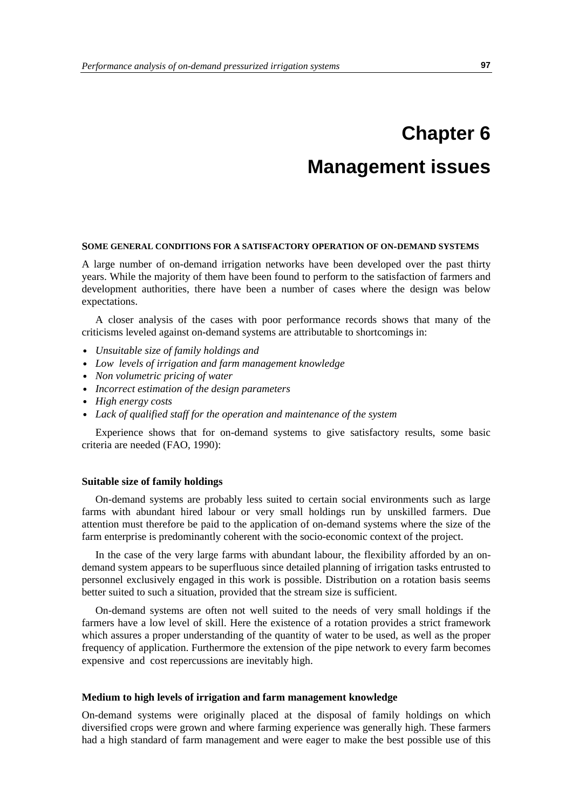# **Chapter 6 Management issues**

#### **SOME GENERAL CONDITIONS FOR A SATISFACTORY OPERATION OF ON-DEMAND SYSTEMS**

A large number of on-demand irrigation networks have been developed over the past thirty years. While the majority of them have been found to perform to the satisfaction of farmers and development authorities, there have been a number of cases where the design was below expectations.

A closer analysis of the cases with poor performance records shows that many of the criticisms leveled against on-demand systems are attributable to shortcomings in:

- *Unsuitable size of family holdings and*
- *Low levels of irrigation and farm management knowledge*
- *Non volumetric pricing of water*
- *Incorrect estimation of the design parameters*
- *High energy costs*
- *Lack of qualified staff for the operation and maintenance of the system*

Experience shows that for on-demand systems to give satisfactory results, some basic criteria are needed (FAO, 1990):

### **Suitable size of family holdings**

On-demand systems are probably less suited to certain social environments such as large farms with abundant hired labour or very small holdings run by unskilled farmers. Due attention must therefore be paid to the application of on-demand systems where the size of the farm enterprise is predominantly coherent with the socio-economic context of the project.

In the case of the very large farms with abundant labour, the flexibility afforded by an ondemand system appears to be superfluous since detailed planning of irrigation tasks entrusted to personnel exclusively engaged in this work is possible. Distribution on a rotation basis seems better suited to such a situation, provided that the stream size is sufficient.

On-demand systems are often not well suited to the needs of very small holdings if the farmers have a low level of skill. Here the existence of a rotation provides a strict framework which assures a proper understanding of the quantity of water to be used, as well as the proper frequency of application. Furthermore the extension of the pipe network to every farm becomes expensive and cost repercussions are inevitably high.

#### **Medium to high levels of irrigation and farm management knowledge**

On-demand systems were originally placed at the disposal of family holdings on which diversified crops were grown and where farming experience was generally high. These farmers had a high standard of farm management and were eager to make the best possible use of this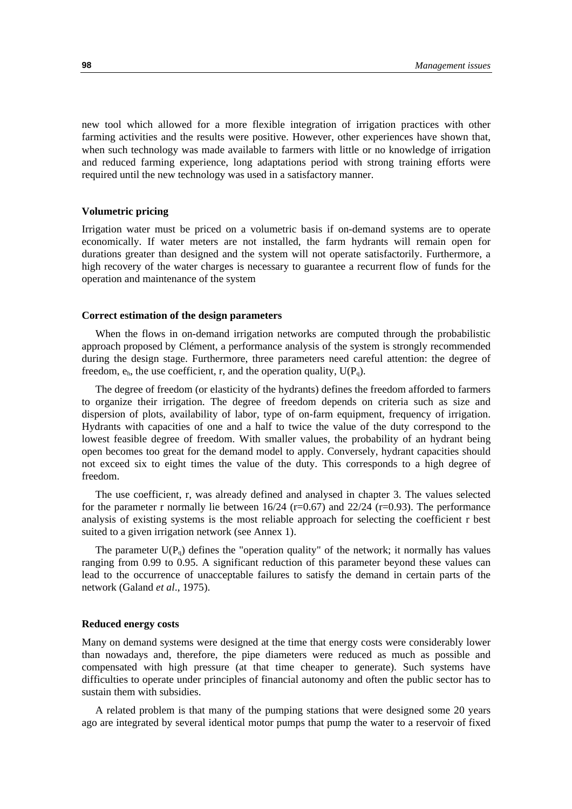new tool which allowed for a more flexible integration of irrigation practices with other farming activities and the results were positive. However, other experiences have shown that, when such technology was made available to farmers with little or no knowledge of irrigation and reduced farming experience, long adaptations period with strong training efforts were required until the new technology was used in a satisfactory manner.

#### **Volumetric pricing**

Irrigation water must be priced on a volumetric basis if on-demand systems are to operate economically. If water meters are not installed, the farm hydrants will remain open for durations greater than designed and the system will not operate satisfactorily. Furthermore, a high recovery of the water charges is necessary to guarantee a recurrent flow of funds for the operation and maintenance of the system

#### **Correct estimation of the design parameters**

When the flows in on-demand irrigation networks are computed through the probabilistic approach proposed by Clément, a performance analysis of the system is strongly recommended during the design stage. Furthermore, three parameters need careful attention: the degree of freedom,  $e_h$ , the use coefficient, r, and the operation quality,  $U(P_q)$ .

The degree of freedom (or elasticity of the hydrants) defines the freedom afforded to farmers to organize their irrigation. The degree of freedom depends on criteria such as size and dispersion of plots, availability of labor, type of on-farm equipment, frequency of irrigation. Hydrants with capacities of one and a half to twice the value of the duty correspond to the lowest feasible degree of freedom. With smaller values, the probability of an hydrant being open becomes too great for the demand model to apply. Conversely, hydrant capacities should not exceed six to eight times the value of the duty. This corresponds to a high degree of freedom.

The use coefficient, r, was already defined and analysed in chapter 3. The values selected for the parameter r normally lie between  $16/24$  (r=0.67) and  $22/24$  (r=0.93). The performance analysis of existing systems is the most reliable approach for selecting the coefficient r best suited to a given irrigation network (see Annex 1).

The parameter  $U(P_q)$  defines the "operation quality" of the network; it normally has values ranging from 0.99 to 0.95. A significant reduction of this parameter beyond these values can lead to the occurrence of unacceptable failures to satisfy the demand in certain parts of the network (Galand *et al*., 1975).

#### **Reduced energy costs**

Many on demand systems were designed at the time that energy costs were considerably lower than nowadays and, therefore, the pipe diameters were reduced as much as possible and compensated with high pressure (at that time cheaper to generate). Such systems have difficulties to operate under principles of financial autonomy and often the public sector has to sustain them with subsidies.

A related problem is that many of the pumping stations that were designed some 20 years ago are integrated by several identical motor pumps that pump the water to a reservoir of fixed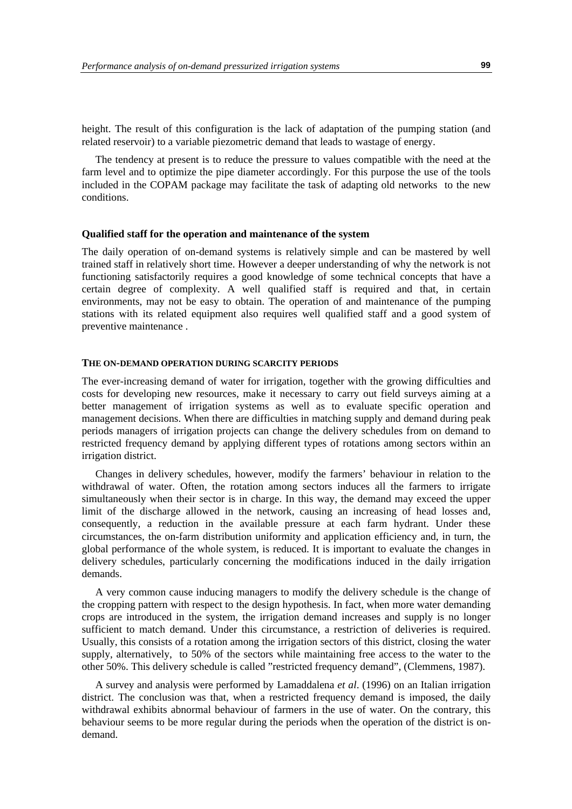height. The result of this configuration is the lack of adaptation of the pumping station (and related reservoir) to a variable piezometric demand that leads to wastage of energy.

The tendency at present is to reduce the pressure to values compatible with the need at the farm level and to optimize the pipe diameter accordingly. For this purpose the use of the tools included in the COPAM package may facilitate the task of adapting old networks to the new conditions.

#### **Qualified staff for the operation and maintenance of the system**

The daily operation of on-demand systems is relatively simple and can be mastered by well trained staff in relatively short time. However a deeper understanding of why the network is not functioning satisfactorily requires a good knowledge of some technical concepts that have a certain degree of complexity. A well qualified staff is required and that, in certain environments, may not be easy to obtain. The operation of and maintenance of the pumping stations with its related equipment also requires well qualified staff and a good system of preventive maintenance .

### **THE ON-DEMAND OPERATION DURING SCARCITY PERIODS**

The ever-increasing demand of water for irrigation, together with the growing difficulties and costs for developing new resources, make it necessary to carry out field surveys aiming at a better management of irrigation systems as well as to evaluate specific operation and management decisions. When there are difficulties in matching supply and demand during peak periods managers of irrigation projects can change the delivery schedules from on demand to restricted frequency demand by applying different types of rotations among sectors within an irrigation district.

Changes in delivery schedules, however, modify the farmers' behaviour in relation to the withdrawal of water. Often, the rotation among sectors induces all the farmers to irrigate simultaneously when their sector is in charge. In this way, the demand may exceed the upper limit of the discharge allowed in the network, causing an increasing of head losses and, consequently, a reduction in the available pressure at each farm hydrant. Under these circumstances, the on-farm distribution uniformity and application efficiency and, in turn, the global performance of the whole system, is reduced. It is important to evaluate the changes in delivery schedules, particularly concerning the modifications induced in the daily irrigation demands.

A very common cause inducing managers to modify the delivery schedule is the change of the cropping pattern with respect to the design hypothesis. In fact, when more water demanding crops are introduced in the system, the irrigation demand increases and supply is no longer sufficient to match demand. Under this circumstance, a restriction of deliveries is required. Usually, this consists of a rotation among the irrigation sectors of this district, closing the water supply, alternatively, to 50% of the sectors while maintaining free access to the water to the other 50%. This delivery schedule is called "restricted frequency demand", (Clemmens, 1987).

A survey and analysis were performed by Lamaddalena *et al*. (1996) on an Italian irrigation district. The conclusion was that, when a restricted frequency demand is imposed, the daily withdrawal exhibits abnormal behaviour of farmers in the use of water. On the contrary, this behaviour seems to be more regular during the periods when the operation of the district is ondemand.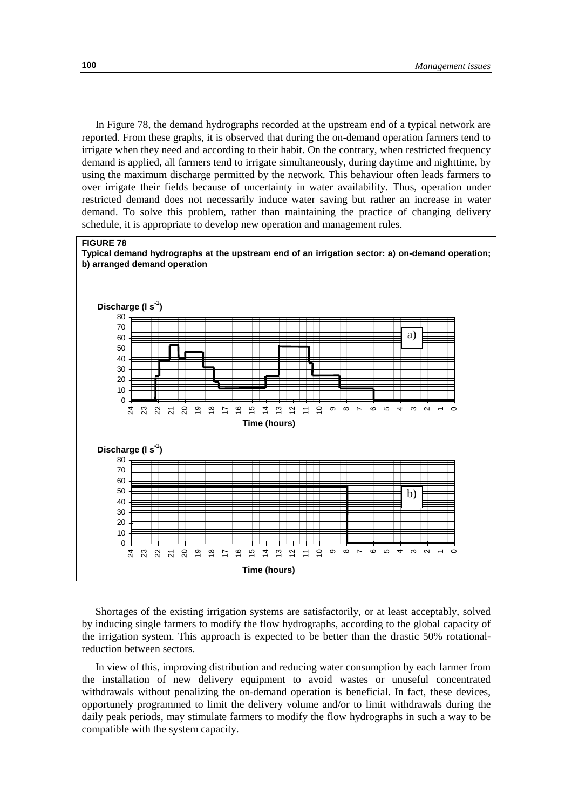In Figure 78, the demand hydrographs recorded at the upstream end of a typical network are reported. From these graphs, it is observed that during the on-demand operation farmers tend to irrigate when they need and according to their habit. On the contrary, when restricted frequency demand is applied, all farmers tend to irrigate simultaneously, during daytime and nighttime, by using the maximum discharge permitted by the network. This behaviour often leads farmers to over irrigate their fields because of uncertainty in water availability. Thus, operation under restricted demand does not necessarily induce water saving but rather an increase in water demand. To solve this problem, rather than maintaining the practice of changing delivery schedule, it is appropriate to develop new operation and management rules.



Shortages of the existing irrigation systems are satisfactorily, or at least acceptably, solved by inducing single farmers to modify the flow hydrographs, according to the global capacity of the irrigation system. This approach is expected to be better than the drastic 50% rotationalreduction between sectors.

In view of this, improving distribution and reducing water consumption by each farmer from the installation of new delivery equipment to avoid wastes or unuseful concentrated withdrawals without penalizing the on-demand operation is beneficial. In fact, these devices, opportunely programmed to limit the delivery volume and/or to limit withdrawals during the daily peak periods, may stimulate farmers to modify the flow hydrographs in such a way to be compatible with the system capacity.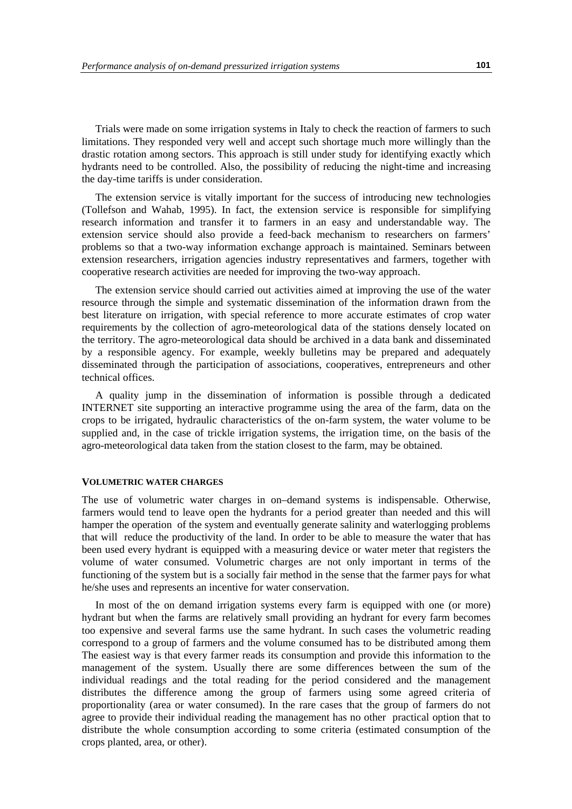Trials were made on some irrigation systems in Italy to check the reaction of farmers to such limitations. They responded very well and accept such shortage much more willingly than the drastic rotation among sectors. This approach is still under study for identifying exactly which hydrants need to be controlled. Also, the possibility of reducing the night-time and increasing the day-time tariffs is under consideration.

The extension service is vitally important for the success of introducing new technologies (Tollefson and Wahab, 1995). In fact, the extension service is responsible for simplifying research information and transfer it to farmers in an easy and understandable way. The extension service should also provide a feed-back mechanism to researchers on farmers' problems so that a two-way information exchange approach is maintained. Seminars between extension researchers, irrigation agencies industry representatives and farmers, together with cooperative research activities are needed for improving the two-way approach.

The extension service should carried out activities aimed at improving the use of the water resource through the simple and systematic dissemination of the information drawn from the best literature on irrigation, with special reference to more accurate estimates of crop water requirements by the collection of agro-meteorological data of the stations densely located on the territory. The agro-meteorological data should be archived in a data bank and disseminated by a responsible agency. For example, weekly bulletins may be prepared and adequately disseminated through the participation of associations, cooperatives, entrepreneurs and other technical offices.

A quality jump in the dissemination of information is possible through a dedicated INTERNET site supporting an interactive programme using the area of the farm, data on the crops to be irrigated, hydraulic characteristics of the on-farm system, the water volume to be supplied and, in the case of trickle irrigation systems, the irrigation time, on the basis of the agro-meteorological data taken from the station closest to the farm, may be obtained.

### **VOLUMETRIC WATER CHARGES**

The use of volumetric water charges in on–demand systems is indispensable. Otherwise, farmers would tend to leave open the hydrants for a period greater than needed and this will hamper the operation of the system and eventually generate salinity and waterlogging problems that will reduce the productivity of the land. In order to be able to measure the water that has been used every hydrant is equipped with a measuring device or water meter that registers the volume of water consumed. Volumetric charges are not only important in terms of the functioning of the system but is a socially fair method in the sense that the farmer pays for what he/she uses and represents an incentive for water conservation.

In most of the on demand irrigation systems every farm is equipped with one (or more) hydrant but when the farms are relatively small providing an hydrant for every farm becomes too expensive and several farms use the same hydrant. In such cases the volumetric reading correspond to a group of farmers and the volume consumed has to be distributed among them The easiest way is that every farmer reads its consumption and provide this information to the management of the system. Usually there are some differences between the sum of the individual readings and the total reading for the period considered and the management distributes the difference among the group of farmers using some agreed criteria of proportionality (area or water consumed). In the rare cases that the group of farmers do not agree to provide their individual reading the management has no other practical option that to distribute the whole consumption according to some criteria (estimated consumption of the crops planted, area, or other).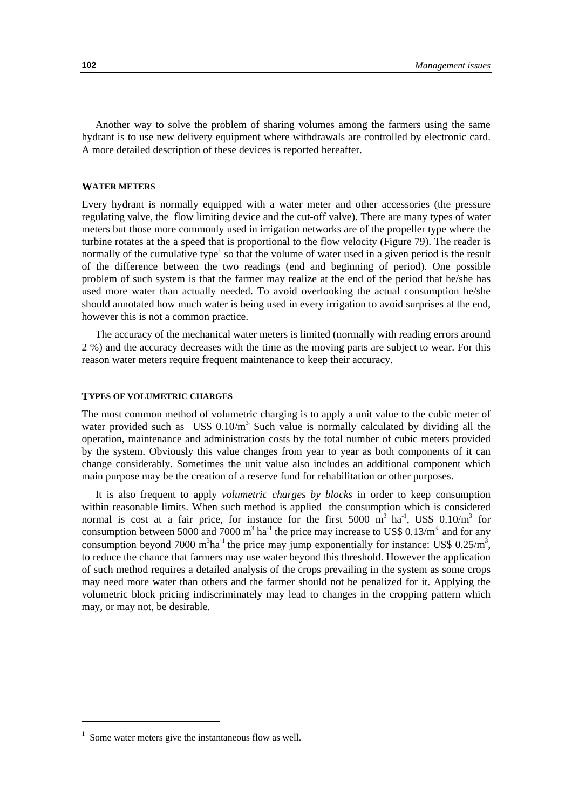Another way to solve the problem of sharing volumes among the farmers using the same hydrant is to use new delivery equipment where withdrawals are controlled by electronic card. A more detailed description of these devices is reported hereafter.

### **WATER METERS**

Every hydrant is normally equipped with a water meter and other accessories (the pressure regulating valve, the flow limiting device and the cut-off valve). There are many types of water meters but those more commonly used in irrigation networks are of the propeller type where the turbine rotates at the a speed that is proportional to the flow velocity (Figure 79). The reader is normally of the cumulative type<sup>1</sup> so that the volume of water used in a given period is the result of the difference between the two readings (end and beginning of period). One possible problem of such system is that the farmer may realize at the end of the period that he/she has used more water than actually needed. To avoid overlooking the actual consumption he/she should annotated how much water is being used in every irrigation to avoid surprises at the end, however this is not a common practice.

The accuracy of the mechanical water meters is limited (normally with reading errors around 2 %) and the accuracy decreases with the time as the moving parts are subject to wear. For this reason water meters require frequent maintenance to keep their accuracy.

#### **TYPES OF VOLUMETRIC CHARGES**

The most common method of volumetric charging is to apply a unit value to the cubic meter of water provided such as  $\text{USS } 0.10/m^3$ . Such value is normally calculated by dividing all the operation, maintenance and administration costs by the total number of cubic meters provided by the system. Obviously this value changes from year to year as both components of it can change considerably. Sometimes the unit value also includes an additional component which main purpose may be the creation of a reserve fund for rehabilitation or other purposes.

It is also frequent to apply *volumetric charges by blocks* in order to keep consumption within reasonable limits. When such method is applied the consumption which is considered normal is cost at a fair price, for instance for the first 5000  $\text{m}^3$  ha<sup>-1</sup>, US\$ 0.10/m<sup>3</sup> for consumption between 5000 and 7000  $m^3$  ha<sup>-1</sup> the price may increase to US\$ 0.13/ $m^3$  and for any consumption beyond 7000 m<sup>3</sup>ha<sup>-1</sup> the price may jump exponentially for instance: US\$  $0.25/m^3$ , to reduce the chance that farmers may use water beyond this threshold. However the application of such method requires a detailed analysis of the crops prevailing in the system as some crops may need more water than others and the farmer should not be penalized for it. Applying the volumetric block pricing indiscriminately may lead to changes in the cropping pattern which may, or may not, be desirable.

<sup>&</sup>lt;sup>1</sup> Some water meters give the instantaneous flow as well.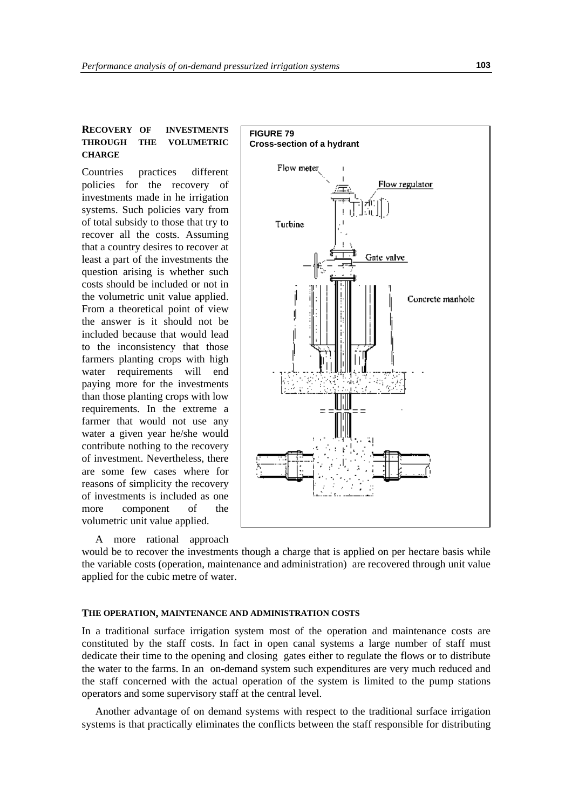# **RECOVERY OF INVESTMENTS THROUGH THE VOLUMETRIC CHARGE**

Countries practices different policies for the recovery of investments made in he irrigation systems. Such policies vary from of total subsidy to those that try to recover all the costs. Assuming that a country desires to recover at least a part of the investments the question arising is whether such costs should be included or not in the volumetric unit value applied. From a theoretical point of view the answer is it should not be included because that would lead to the inconsistency that those farmers planting crops with high water requirements will end paying more for the investments than those planting crops with low requirements. In the extreme a farmer that would not use any water a given year he/she would contribute nothing to the recovery of investment. Nevertheless, there are some few cases where for reasons of simplicity the recovery of investments is included as one more component of the volumetric unit value applied.

A more rational approach



would be to recover the investments though a charge that is applied on per hectare basis while the variable costs (operation, maintenance and administration) are recovered through unit value applied for the cubic metre of water.

#### **THE OPERATION, MAINTENANCE AND ADMINISTRATION COSTS**

In a traditional surface irrigation system most of the operation and maintenance costs are constituted by the staff costs. In fact in open canal systems a large number of staff must dedicate their time to the opening and closing gates either to regulate the flows or to distribute the water to the farms. In an on-demand system such expenditures are very much reduced and the staff concerned with the actual operation of the system is limited to the pump stations operators and some supervisory staff at the central level.

Another advantage of on demand systems with respect to the traditional surface irrigation systems is that practically eliminates the conflicts between the staff responsible for distributing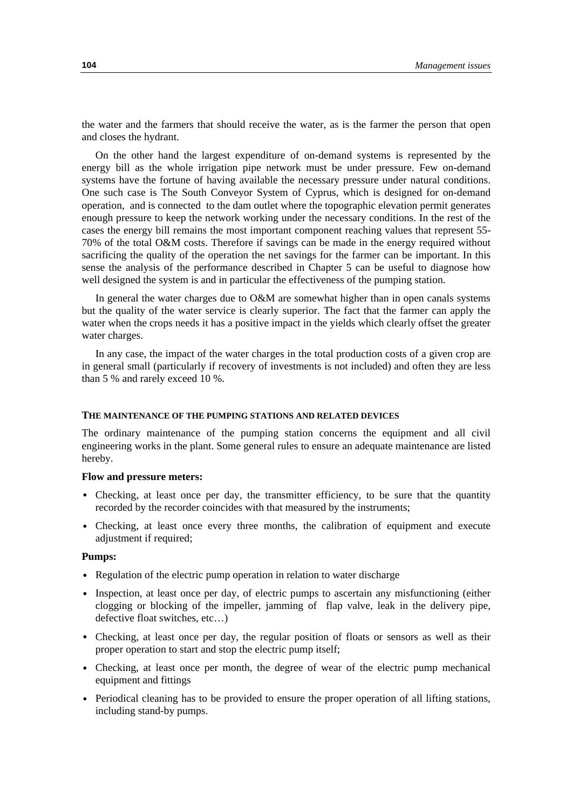the water and the farmers that should receive the water, as is the farmer the person that open and closes the hydrant.

On the other hand the largest expenditure of on-demand systems is represented by the energy bill as the whole irrigation pipe network must be under pressure. Few on-demand systems have the fortune of having available the necessary pressure under natural conditions. One such case is The South Conveyor System of Cyprus, which is designed for on-demand operation, and is connected to the dam outlet where the topographic elevation permit generates enough pressure to keep the network working under the necessary conditions. In the rest of the cases the energy bill remains the most important component reaching values that represent 55- 70% of the total O&M costs. Therefore if savings can be made in the energy required without sacrificing the quality of the operation the net savings for the farmer can be important. In this sense the analysis of the performance described in Chapter 5 can be useful to diagnose how well designed the system is and in particular the effectiveness of the pumping station.

In general the water charges due to O&M are somewhat higher than in open canals systems but the quality of the water service is clearly superior. The fact that the farmer can apply the water when the crops needs it has a positive impact in the yields which clearly offset the greater water charges.

In any case, the impact of the water charges in the total production costs of a given crop are in general small (particularly if recovery of investments is not included) and often they are less than 5 % and rarely exceed 10 %.

#### **THE MAINTENANCE OF THE PUMPING STATIONS AND RELATED DEVICES**

The ordinary maintenance of the pumping station concerns the equipment and all civil engineering works in the plant. Some general rules to ensure an adequate maintenance are listed hereby.

### **Flow and pressure meters:**

- Checking, at least once per day, the transmitter efficiency, to be sure that the quantity recorded by the recorder coincides with that measured by the instruments;
- Checking, at least once every three months, the calibration of equipment and execute adjustment if required;

#### **Pumps:**

- Regulation of the electric pump operation in relation to water discharge
- Inspection, at least once per day, of electric pumps to ascertain any misfunctioning (either clogging or blocking of the impeller, jamming of flap valve, leak in the delivery pipe, defective float switches, etc…)
- Checking, at least once per day, the regular position of floats or sensors as well as their proper operation to start and stop the electric pump itself;
- Checking, at least once per month, the degree of wear of the electric pump mechanical equipment and fittings
- Periodical cleaning has to be provided to ensure the proper operation of all lifting stations, including stand-by pumps.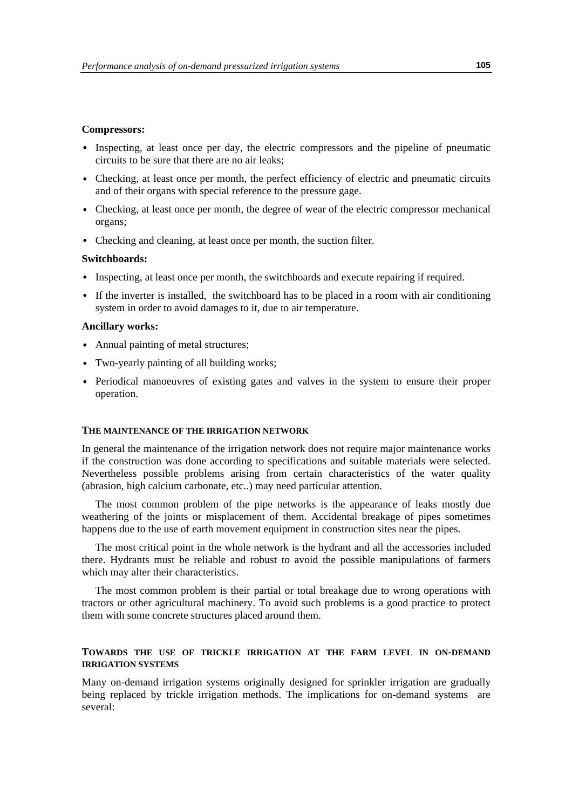#### **Compressors:**

- Inspecting, at least once per day, the electric compressors and the pipeline of pneumatic circuits to be sure that there are no air leaks;
- Checking, at least once per month, the perfect efficiency of electric and pneumatic circuits and of their organs with special reference to the pressure gage.
- Checking, at least once per month, the degree of wear of the electric compressor mechanical organs;
- Checking and cleaning, at least once per month, the suction filter.

#### **Switchboards:**

- Inspecting, at least once per month, the switchboards and execute repairing if required.
- If the inverter is installed, the switchboard has to be placed in a room with air conditioning system in order to avoid damages to it, due to air temperature.

#### **Ancillary works:**

- Annual painting of metal structures;
- Two-yearly painting of all building works;
- Periodical manoeuvres of existing gates and valves in the system to ensure their proper operation.

#### **THE MAINTENANCE OF THE IRRIGATION NETWORK**

In general the maintenance of the irrigation network does not require major maintenance works if the construction was done according to specifications and suitable materials were selected. Nevertheless possible problems arising from certain characteristics of the water quality (abrasion, high calcium carbonate, etc..) may need particular attention.

The most common problem of the pipe networks is the appearance of leaks mostly due weathering of the joints or misplacement of them. Accidental breakage of pipes sometimes happens due to the use of earth movement equipment in construction sites near the pipes.

The most critical point in the whole network is the hydrant and all the accessories included there. Hydrants must be reliable and robust to avoid the possible manipulations of farmers which may alter their characteristics.

The most common problem is their partial or total breakage due to wrong operations with tractors or other agricultural machinery. To avoid such problems is a good practice to protect them with some concrete structures placed around them.

### **TOWARDS THE USE OF TRICKLE IRRIGATION AT THE FARM LEVEL IN ON-DEMAND IRRIGATION SYSTEMS**

Many on-demand irrigation systems originally designed for sprinkler irrigation are gradually being replaced by trickle irrigation methods. The implications for on-demand systems are several: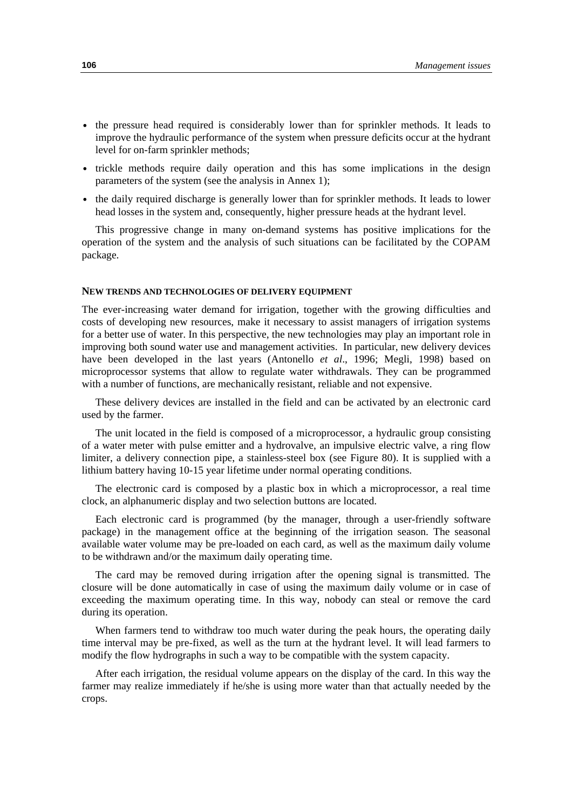- the pressure head required is considerably lower than for sprinkler methods. It leads to improve the hydraulic performance of the system when pressure deficits occur at the hydrant level for on-farm sprinkler methods;
- trickle methods require daily operation and this has some implications in the design parameters of the system (see the analysis in Annex 1);
- the daily required discharge is generally lower than for sprinkler methods. It leads to lower head losses in the system and, consequently, higher pressure heads at the hydrant level.

This progressive change in many on-demand systems has positive implications for the operation of the system and the analysis of such situations can be facilitated by the COPAM package.

#### **NEW TRENDS AND TECHNOLOGIES OF DELIVERY EQUIPMENT**

The ever-increasing water demand for irrigation, together with the growing difficulties and costs of developing new resources, make it necessary to assist managers of irrigation systems for a better use of water. In this perspective, the new technologies may play an important role in improving both sound water use and management activities. In particular, new delivery devices have been developed in the last years (Antonello *et al*., 1996; Megli, 1998) based on microprocessor systems that allow to regulate water withdrawals. They can be programmed with a number of functions, are mechanically resistant, reliable and not expensive.

These delivery devices are installed in the field and can be activated by an electronic card used by the farmer.

The unit located in the field is composed of a microprocessor, a hydraulic group consisting of a water meter with pulse emitter and a hydrovalve, an impulsive electric valve, a ring flow limiter, a delivery connection pipe, a stainless-steel box (see Figure 80). It is supplied with a lithium battery having 10-15 year lifetime under normal operating conditions.

The electronic card is composed by a plastic box in which a microprocessor, a real time clock, an alphanumeric display and two selection buttons are located.

Each electronic card is programmed (by the manager, through a user-friendly software package) in the management office at the beginning of the irrigation season. The seasonal available water volume may be pre-loaded on each card, as well as the maximum daily volume to be withdrawn and/or the maximum daily operating time.

The card may be removed during irrigation after the opening signal is transmitted. The closure will be done automatically in case of using the maximum daily volume or in case of exceeding the maximum operating time. In this way, nobody can steal or remove the card during its operation.

When farmers tend to withdraw too much water during the peak hours, the operating daily time interval may be pre-fixed, as well as the turn at the hydrant level. It will lead farmers to modify the flow hydrographs in such a way to be compatible with the system capacity.

After each irrigation, the residual volume appears on the display of the card. In this way the farmer may realize immediately if he/she is using more water than that actually needed by the crops.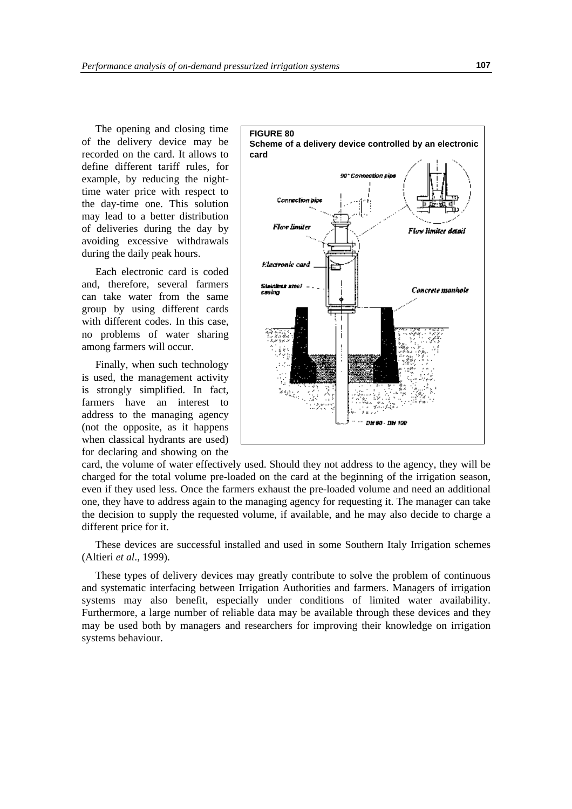The opening and closing time of the delivery device may be recorded on the card. It allows to define different tariff rules, for example, by reducing the nighttime water price with respect to the day-time one. This solution may lead to a better distribution of deliveries during the day by avoiding excessive withdrawals during the daily peak hours.

Each electronic card is coded and, therefore, several farmers can take water from the same group by using different cards with different codes. In this case, no problems of water sharing among farmers will occur.

Finally, when such technology is used, the management activity is strongly simplified. In fact, farmers have an interest to address to the managing agency (not the opposite, as it happens when classical hydrants are used) for declaring and showing on the



card, the volume of water effectively used. Should they not address to the agency, they will be charged for the total volume pre-loaded on the card at the beginning of the irrigation season, even if they used less. Once the farmers exhaust the pre-loaded volume and need an additional one, they have to address again to the managing agency for requesting it. The manager can take the decision to supply the requested volume, if available, and he may also decide to charge a different price for it.

These devices are successful installed and used in some Southern Italy Irrigation schemes (Altieri *et al*., 1999).

These types of delivery devices may greatly contribute to solve the problem of continuous and systematic interfacing between Irrigation Authorities and farmers. Managers of irrigation systems may also benefit, especially under conditions of limited water availability. Furthermore, a large number of reliable data may be available through these devices and they may be used both by managers and researchers for improving their knowledge on irrigation systems behaviour.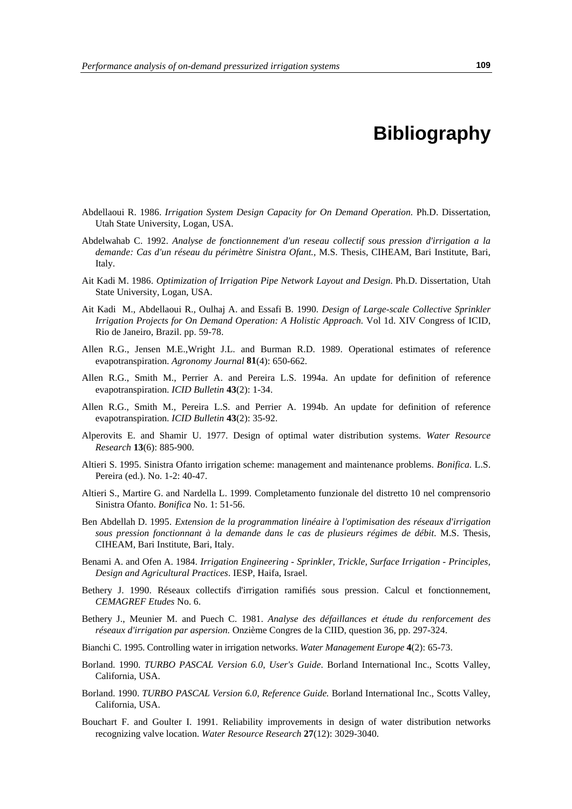# **Bibliography**

- Abdellaoui R. 1986. *Irrigation System Design Capacity for On Demand Operation.* Ph.D. Dissertation, Utah State University, Logan, USA.
- Abdelwahab C. 1992. *Analyse de fonctionnement d'un reseau collectif sous pression d'irrigation a la demande: Cas d'un réseau du périmètre Sinistra Ofant.,* M.S. Thesis, CIHEAM, Bari Institute, Bari, Italy.
- Ait Kadi M. 1986. *Optimization of Irrigation Pipe Network Layout and Design*. Ph.D. Dissertation, Utah State University, Logan, USA.
- Ait Kadi M., Abdellaoui R., Oulhaj A. and Essafi B. 1990. *Design of Large-scale Collective Sprinkler Irrigation Projects for On Demand Operation: A Holistic Approach.* Vol 1d. XIV Congress of ICID, Rio de Janeiro, Brazil. pp. 59-78.
- Allen R.G., Jensen M.E.,Wright J.L. and Burman R.D. 1989. Operational estimates of reference evapotranspiration. *Agronomy Journal* **81**(4): 650-662.
- Allen R.G., Smith M., Perrier A. and Pereira L.S. 1994a. An update for definition of reference evapotranspiration. *ICID Bulletin* **43**(2): 1-34.
- Allen R.G., Smith M., Pereira L.S. and Perrier A. 1994b. An update for definition of reference evapotranspiration. *ICID Bulletin* **43**(2): 35-92.
- Alperovits E. and Shamir U. 1977. Design of optimal water distribution systems*. Water Resource Research* **13**(6): 885-900.
- Altieri S. 1995. Sinistra Ofanto irrigation scheme: management and maintenance problems. *Bonifica.* L.S. Pereira (ed.). No. 1-2: 40-47.
- Altieri S., Martire G. and Nardella L. 1999. Completamento funzionale del distretto 10 nel comprensorio Sinistra Ofanto. *Bonifica* No. 1: 51-56.
- Ben Abdellah D. 1995. *Extension de la programmation linéaire à l'optimisation des réseaux d'irrigation sous pression fonctionnant à la demande dans le cas de plusieurs régimes de débit*. M.S. Thesis, CIHEAM, Bari Institute, Bari, Italy.
- Benami A. and Ofen A. 1984. *Irrigation Engineering Sprinkler, Trickle, Surface Irrigation Principles, Design and Agricultural Practices*. IESP, Haifa, Israel.
- Bethery J. 1990. Réseaux collectifs d'irrigation ramifiés sous pression. Calcul et fonctionnement, *CEMAGREF Etudes* No. 6.
- Bethery J., Meunier M. and Puech C. 1981. *Analyse des défaillances et étude du renforcement des réseaux d'irrigation par aspersion.* Onzième Congres de la CIID, question 36, pp. 297-324.
- Bianchi C. 1995. Controlling water in irrigation networks. *Water Management Europe* **4**(2): 65-73.
- Borland. 1990*. TURBO PASCAL Version 6.0, User's Guide*. Borland International Inc., Scotts Valley, California, USA.
- Borland. 1990. *TURBO PASCAL Version 6.0, Reference Guide.* Borland International Inc., Scotts Valley, California, USA.
- Bouchart F. and Goulter I. 1991. Reliability improvements in design of water distribution networks recognizing valve location. *Water Resource Research* **27**(12): 3029-3040.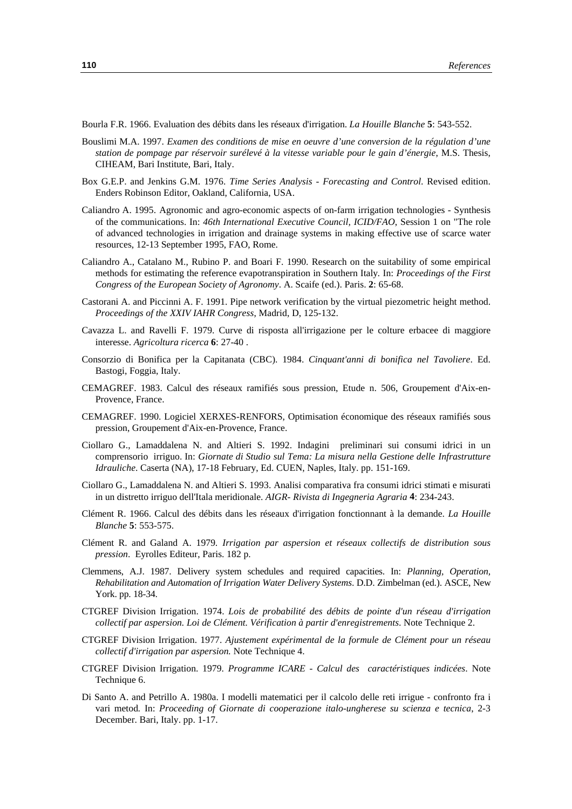Bourla F.R. 1966. Evaluation des débits dans les réseaux d'irrigation. *La Houille Blanche* **5**: 543-552.

- Bouslimi M.A. 1997. *Examen des conditions de mise en oeuvre d'une conversion de la régulation d'une station de pompage par réservoir surélevé à la vitesse variable pour le gain d'énergie*, M.S. Thesis, CIHEAM, Bari Institute, Bari, Italy.
- Box G.E.P. and Jenkins G.M. 1976. *Time Series Analysis Forecasting and Control*. Revised edition. Enders Robinson Editor, Oakland, California, USA.
- Caliandro A. 1995. Agronomic and agro-economic aspects of on-farm irrigation technologies Synthesis of the communications. In: *46th International Executive Council, ICID/FAO*, Session 1 on "The role of advanced technologies in irrigation and drainage systems in making effective use of scarce water resources, 12-13 September 1995, FAO, Rome.
- Caliandro A., Catalano M., Rubino P. and Boari F. 1990. Research on the suitability of some empirical methods for estimating the reference evapotranspiration in Southern Italy*.* In: *Proceedings of the First Congress of the European Society of Agronomy*. A. Scaife (ed.). Paris. **2**: 65-68.
- Castorani A. and Piccinni A. F. 1991. Pipe network verification by the virtual piezometric height method. *Proceedings of the XXIV IAHR Congress*, Madrid, D, 125-132.
- Cavazza L. and Ravelli F. 1979. Curve di risposta all'irrigazione per le colture erbacee di maggiore interesse. *Agricoltura ricerca* **6**: 27-40 .
- Consorzio di Bonifica per la Capitanata (CBC). 1984. *Cinquant'anni di bonifica nel Tavoliere*. Ed. Bastogi, Foggia, Italy.
- CEMAGREF. 1983. Calcul des réseaux ramifiés sous pression, Etude n. 506, Groupement d'Aix-en-Provence, France.
- CEMAGREF. 1990. Logiciel XERXES-RENFORS, Optimisation économique des réseaux ramifiés sous pression, Groupement d'Aix-en-Provence, France.
- Ciollaro G., Lamaddalena N. and Altieri S. 1992. Indagini preliminari sui consumi idrici in un comprensorio irriguo. In: *Giornate di Studio sul Tema: La misura nella Gestione delle Infrastrutture Idrauliche*. Caserta (NA), 17-18 February, Ed. CUEN, Naples, Italy. pp. 151-169.
- Ciollaro G., Lamaddalena N. and Altieri S. 1993. Analisi comparativa fra consumi idrici stimati e misurati in un distretto irriguo dell'Itala meridionale. *AIGR- Rivista di Ingegneria Agraria* **4**: 234-243.
- Clément R. 1966. Calcul des débits dans les réseaux d'irrigation fonctionnant à la demande. *La Houille Blanche* **5**: 553-575.
- Clément R. and Galand A. 1979*. Irrigation par aspersion et réseaux collectifs de distribution sous pression*. Eyrolles Editeur, Paris. 182 p.
- Clemmens, A.J. 1987. Delivery system schedules and required capacities. In: *Planning, Operation, Rehabilitation and Automation of Irrigation Water Delivery Systems*. D.D. Zimbelman (ed.). ASCE, New York. pp. 18-34.
- CTGREF Division Irrigation. 1974. *Lois de probabilité des débits de pointe d'un réseau d'irrigation collectif par aspersion. Loi de Clément. Vérification à partir d'enregistrements*. Note Technique 2.
- CTGREF Division Irrigation. 1977. *Ajustement expérimental de la formule de Clément pour un réseau collectif d'irrigation par aspersion.* Note Technique 4.
- CTGREF Division Irrigation. 1979. *Programme ICARE Calcul des caractéristiques indicées*. Note Technique 6.
- Di Santo A. and Petrillo A. 1980a. I modelli matematici per il calcolo delle reti irrigue confronto fra i vari metod*.* In: *Proceeding of Giornate di cooperazione italo-ungherese su scienza e tecnica*, 2-3 December. Bari, Italy. pp. 1-17.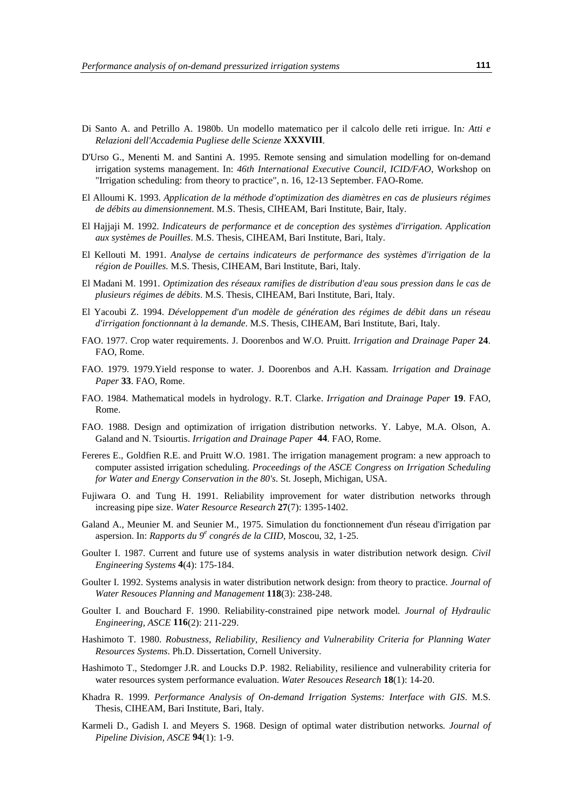- Di Santo A. and Petrillo A. 1980b. Un modello matematico per il calcolo delle reti irrigue. In*: Atti e Relazioni dell'Accademia Pugliese delle Scienze* **XXXVIII**.
- D'Urso G., Menenti M. and Santini A. 1995. Remote sensing and simulation modelling for on-demand irrigation systems management. In: *46th International Executive Council, ICID/FAO*, Workshop on "Irrigation scheduling: from theory to practice", n. 16, 12-13 September. FAO-Rome.
- El Alloumi K. 1993. *Application de la méthode d'optimization des diamètres en cas de plusieurs régimes de débits au dimensionnement*. M.S. Thesis, CIHEAM, Bari Institute, Bair, Italy.
- El Hajjaji M. 1992. *Indicateurs de performance et de conception des systèmes d'irrigation. Application aux systèmes de Pouilles*. M.S. Thesis, CIHEAM, Bari Institute, Bari, Italy.
- El Kellouti M. 1991. *Analyse de certains indicateurs de performance des systèmes d'irrigation de la région de Pouilles.* M.S. Thesis, CIHEAM, Bari Institute, Bari, Italy.
- El Madani M. 1991. *Optimization des réseaux ramifies de distribution d'eau sous pression dans le cas de plusieurs régimes de débits*. M.S. Thesis, CIHEAM, Bari Institute, Bari, Italy.
- El Yacoubi Z. 1994. *Développement d'un modèle de génération des régimes de débit dans un réseau d'irrigation fonctionnant à la demande*. M.S. Thesis, CIHEAM, Bari Institute, Bari, Italy.
- FAO. 1977. Crop water requirements. J. Doorenbos and W.O. Pruitt. *Irrigation and Drainage Paper* **24**. FAO, Rome.
- FAO. 1979. 1979.Yield response to water. J. Doorenbos and A.H. Kassam. *Irrigation and Drainage Paper* **33**. FAO, Rome.
- FAO. 1984. Mathematical models in hydrology. R.T. Clarke. *Irrigation and Drainage Paper* **19**. FAO, Rome.
- FAO. 1988. Design and optimization of irrigation distribution networks. Y. Labye, M.A. Olson, A. Galand and N. Tsiourtis. *Irrigation and Drainage Paper* **44**. FAO, Rome.
- Fereres E., Goldfien R.E. and Pruitt W.O. 1981. The irrigation management program: a new approach to computer assisted irrigation scheduling. *Proceedings of the ASCE Congress on Irrigation Scheduling for Water and Energy Conservation in the 80's*. St. Joseph, Michigan, USA.
- Fujiwara O. and Tung H. 1991. Reliability improvement for water distribution networks through increasing pipe size. *Water Resource Research* **27**(7): 1395-1402.
- Galand A., Meunier M. and Seunier M., 1975. Simulation du fonctionnement d'un réseau d'irrigation par aspersion. In: *Rapports du 9<sup>e</sup> congrés de la CIID*, Moscou, 32, 1-25.
- Goulter I. 1987. Current and future use of systems analysis in water distribution network design*. Civil Engineering Systems* **4**(4): 175-184.
- Goulter I. 1992. Systems analysis in water distribution network design: from theory to practice*. Journal of Water Resouces Planning and Management* **118**(3): 238-248.
- Goulter I. and Bouchard F. 1990. Reliability-constrained pipe network model*. Journal of Hydraulic Engineering, ASCE* **116**(2): 211-229.
- Hashimoto T. 1980. *Robustness, Reliability, Resiliency and Vulnerability Criteria for Planning Water Resources Systems*. Ph.D. Dissertation, Cornell University.
- Hashimoto T., Stedomger J.R. and Loucks D.P. 1982. Reliability, resilience and vulnerability criteria for water resources system performance evaluation. *Water Resouces Research* **18**(1): 14-20.
- Khadra R. 1999. *Performance Analysis of On-demand Irrigation Systems: Interface with GIS*. M.S. Thesis, CIHEAM, Bari Institute, Bari, Italy.
- Karmeli D., Gadish I. and Meyers S. 1968. Design of optimal water distribution networks*. Journal of Pipeline Division, ASCE* **94**(1): 1-9.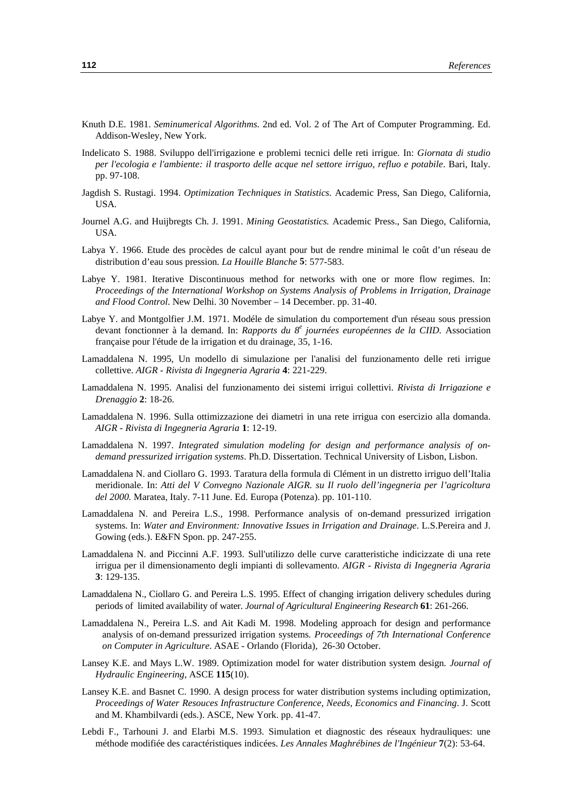- Knuth D.E. 1981. *Seminumerical Algorithms.* 2nd ed. Vol. 2 of The Art of Computer Programming. Ed. Addison-Wesley, New York.
- Indelicato S. 1988. Sviluppo dell'irrigazione e problemi tecnici delle reti irrigue. In: *Giornata di studio per l'ecologia e l'ambiente: il trasporto delle acque nel settore irriguo, refluo e potabile*. Bari, Italy. pp. 97-108.
- Jagdish S. Rustagi. 1994. *Optimization Techniques in Statistics.* Academic Press, San Diego, California, USA.
- Journel A.G. and Huijbregts Ch. J. 1991. *Mining Geostatistics.* Academic Press., San Diego, California, USA.
- Labya Y. 1966. Etude des procèdes de calcul ayant pour but de rendre minimal le coût d'un réseau de distribution d'eau sous pression. *La Houille Blanche* **5**: 577-583.
- Labye Y. 1981. Iterative Discontinuous method for networks with one or more flow regimes. In: *Proceedings of the International Workshop on Systems Analysis of Problems in Irrigation, Drainage and Flood Control*. New Delhi. 30 November – 14 December. pp. 31-40.
- Labye Y. and Montgolfier J.M. 1971. Modéle de simulation du comportement d'un réseau sous pression devant fonctionner à la demand. In: *Rapports du 8 e journées européennes de la CIID.* Association française pour l'étude de la irrigation et du drainage, 35, 1-16.
- Lamaddalena N. 1995, Un modello di simulazione per l'analisi del funzionamento delle reti irrigue collettive. *AIGR - Rivista di Ingegneria Agraria* **4**: 221-229.
- Lamaddalena N. 1995. Analisi del funzionamento dei sistemi irrigui collettivi. *Rivista di Irrigazione e Drenaggio* **2**: 18-26.
- Lamaddalena N. 1996. Sulla ottimizzazione dei diametri in una rete irrigua con esercizio alla domanda. *AIGR - Rivista di Ingegneria Agraria* **1**: 12-19.
- Lamaddalena N. 1997. *Integrated simulation modeling for design and performance analysis of ondemand pressurized irrigation systems*. Ph.D. Dissertation. Technical University of Lisbon, Lisbon.
- Lamaddalena N. and Ciollaro G. 1993. Taratura della formula di Clément in un distretto irriguo dell'Italia meridionale. In: *Atti del V Convegno Nazionale AIGR. su Il ruolo dell'ingegneria per l'agricoltura del 2000.* Maratea, Italy. 7-11 June. Ed. Europa (Potenza). pp. 101-110.
- Lamaddalena N. and Pereira L.S., 1998. Performance analysis of on-demand pressurized irrigation systems. In: *Water and Environment: Innovative Issues in Irrigation and Drainage*. L.S.Pereira and J. Gowing (eds.). E&FN Spon. pp. 247-255.
- Lamaddalena N. and Piccinni A.F. 1993. Sull'utilizzo delle curve caratteristiche indicizzate di una rete irrigua per il dimensionamento degli impianti di sollevamento*. AIGR - Rivista di Ingegneria Agraria* **3**: 129-135.
- Lamaddalena N., Ciollaro G. and Pereira L.S. 1995. Effect of changing irrigation delivery schedules during periods of limited availability of water. *Journal of Agricultural Engineering Research* **61**: 261-266.
- Lamaddalena N., Pereira L.S. and Ait Kadi M. 1998. Modeling approach for design and performance analysis of on-demand pressurized irrigation systems*. Proceedings of 7th International Conference on Computer in Agriculture*. ASAE - Orlando (Florida), 26-30 October.
- Lansey K.E. and Mays L.W. 1989. Optimization model for water distribution system design*. Journal of Hydraulic Engineering*, ASCE **115**(10).
- Lansey K.E. and Basnet C. 1990. A design process for water distribution systems including optimization, *Proceedings of Water Resouces Infrastructure Conference, Needs, Economics and Financing*. J. Scott and M. Khambilvardi (eds.). ASCE, New York. pp. 41-47.
- Lebdi F., Tarhouni J. and Elarbi M.S. 1993. Simulation et diagnostic des réseaux hydrauliques: une méthode modifiée des caractéristiques indicées. *Les Annales Maghrébines de l'Ingénieur* **7**(2): 53-64.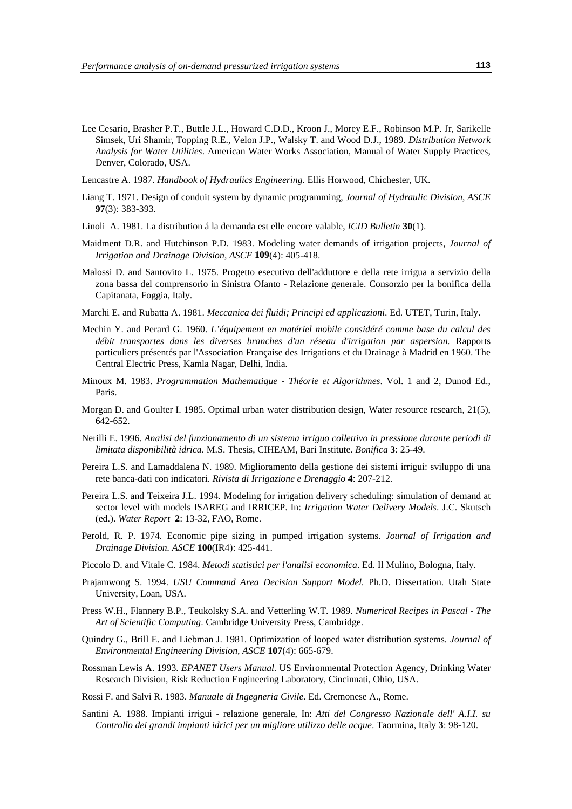- Lee Cesario, Brasher P.T., Buttle J.L., Howard C.D.D., Kroon J., Morey E.F., Robinson M.P. Jr, Sarikelle Simsek, Uri Shamir, Topping R.E., Velon J.P., Walsky T. and Wood D.J., 1989. *Distribution Network Analysis for Water Utilities*. American Water Works Association, Manual of Water Supply Practices, Denver, Colorado, USA.
- Lencastre A. 1987. *Handbook of Hydraulics Engineering*. Ellis Horwood, Chichester, UK.
- Liang T. 1971. Design of conduit system by dynamic programming*, Journal of Hydraulic Division, ASCE* **97**(3): 383-393.
- Linoli A. 1981. La distribution á la demanda est elle encore valable, *ICID Bulletin* **30**(1).
- Maidment D.R. and Hutchinson P.D. 1983. Modeling water demands of irrigation projects*, Journal of Irrigation and Drainage Division, ASCE* **109**(4): 405-418.
- Malossi D. and Santovito L. 1975. Progetto esecutivo dell'adduttore e della rete irrigua a servizio della zona bassa del comprensorio in Sinistra Ofanto - Relazione generale. Consorzio per la bonifica della Capitanata, Foggia, Italy.
- Marchi E. and Rubatta A. 1981. *Meccanica dei fluidi; Principi ed applicazioni*. Ed. UTET, Turin, Italy.
- Mechin Y. and Perard G. 1960. *L'équipement en matériel mobile considéré comme base du calcul des débit transportes dans les diverses branches d'un réseau d'irrigation par aspersion.* Rapports particuliers présentés par l'Association Française des Irrigations et du Drainage à Madrid en 1960. The Central Electric Press, Kamla Nagar, Delhi, India.
- Minoux M. 1983. *Programmation Mathematique - Théorie et Algorithmes*. Vol. 1 and 2, Dunod Ed., Paris.
- Morgan D. and Goulter I. 1985. Optimal urban water distribution design, Water resource research, 21(5), 642-652.
- Nerilli E. 1996. *Analisi del funzionamento di un sistema irriguo collettivo in pressione durante periodi di limitata disponibilità idrica*. M.S. Thesis, CIHEAM, Bari Institute. *Bonifica* **3**: 25-49.
- Pereira L.S. and Lamaddalena N. 1989. Miglioramento della gestione dei sistemi irrigui: sviluppo di una rete banca-dati con indicatori. *Rivista di Irrigazione e Drenaggio* **4**: 207-212.
- Pereira L.S. and Teixeira J.L. 1994. Modeling for irrigation delivery scheduling: simulation of demand at sector level with models ISAREG and IRRICEP. In: *Irrigation Water Delivery Models*. J.C. Skutsch (ed.). *Water Report* **2**: 13-32, FAO, Rome.
- Perold, R. P. 1974. Economic pipe sizing in pumped irrigation systems. *Journal of Irrigation and Drainage Division. ASCE* **100**(IR4): 425-441.
- Piccolo D. and Vitale C. 1984. *Metodi statistici per l'analisi economica*. Ed. Il Mulino, Bologna, Italy.
- Prajamwong S. 1994. *USU Command Area Decision Support Model.* Ph.D. Dissertation. Utah State University, Loan, USA.
- Press W.H., Flannery B.P., Teukolsky S.A. and Vetterling W.T. 1989*. Numerical Recipes in Pascal The Art of Scientific Computing*. Cambridge University Press, Cambridge.
- Quindry G., Brill E. and Liebman J. 1981. Optimization of looped water distribution systems*. Journal of Environmental Engineering Division, ASCE* **107**(4): 665-679.
- Rossman Lewis A. 1993. *EPANET Users Manual*. US Environmental Protection Agency, Drinking Water Research Division, Risk Reduction Engineering Laboratory, Cincinnati, Ohio, USA.
- Rossi F. and Salvi R. 1983. *Manuale di Ingegneria Civile*. Ed. Cremonese A., Rome.
- Santini A. 1988. Impianti irrigui relazione generale, In: *Atti del Congresso Nazionale dell' A.I.I. su Controllo dei grandi impianti idrici per un migliore utilizzo delle acque*. Taormina, Italy **3**: 98-120.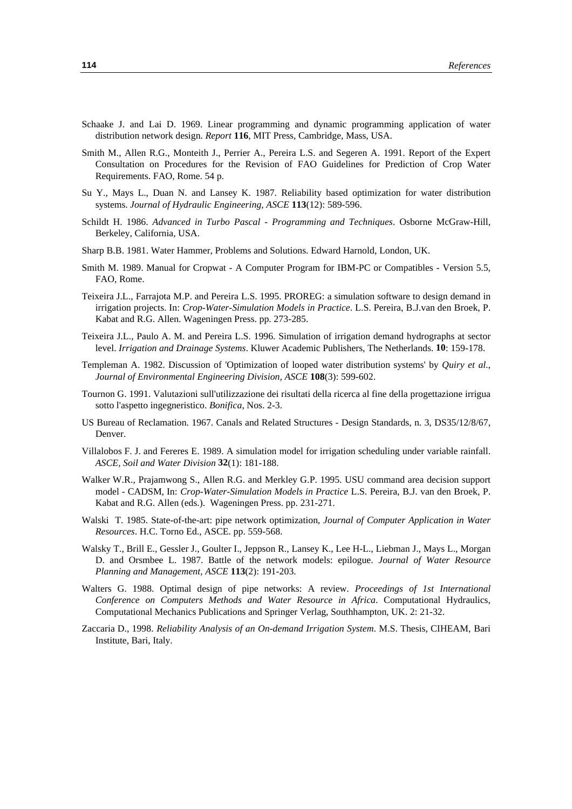- Schaake J. and Lai D. 1969. Linear programming and dynamic programming application of water distribution network design. *Report* **116**, MIT Press, Cambridge, Mass, USA.
- Smith M., Allen R.G., Monteith J., Perrier A., Pereira L.S. and Segeren A. 1991. Report of the Expert Consultation on Procedures for the Revision of FAO Guidelines for Prediction of Crop Water Requirements. FAO, Rome. 54 p.
- Su Y., Mays L., Duan N. and Lansey K. 1987. Reliability based optimization for water distribution systems. *Journal of Hydraulic Engineering, ASCE* **113**(12): 589-596.
- Schildt H. 1986. *Advanced in Turbo Pascal Programming and Techniques*. Osborne McGraw-Hill, Berkeley, California, USA.
- Sharp B.B. 1981. Water Hammer, Problems and Solutions. Edward Harnold, London, UK.
- Smith M. 1989. Manual for Cropwat A Computer Program for IBM-PC or Compatibles Version 5.5, FAO, Rome.
- Teixeira J.L., Farrajota M.P. and Pereira L.S. 1995. PROREG: a simulation software to design demand in irrigation projects. In: *Crop-Water-Simulation Models in Practice*. L.S. Pereira, B.J.van den Broek, P. Kabat and R.G. Allen. Wageningen Press. pp. 273-285.
- Teixeira J.L., Paulo A. M. and Pereira L.S. 1996. Simulation of irrigation demand hydrographs at sector level. *Irrigation and Drainage Systems*. Kluwer Academic Publishers, The Netherlands. **10**: 159-178.
- Templeman A. 1982. Discussion of 'Optimization of looped water distribution systems' by *Quiry et al*., *Journal of Environmental Engineering Division, ASCE* **108**(3): 599-602.
- Tournon G. 1991. Valutazioni sull'utilizzazione dei risultati della ricerca al fine della progettazione irrigua sotto l'aspetto ingegneristico. *Bonifica*, Nos. 2-3.
- US Bureau of Reclamation. 1967. Canals and Related Structures Design Standards, n. 3, DS35/12/8/67, Denver.
- Villalobos F. J. and Fereres E. 1989. A simulation model for irrigation scheduling under variable rainfall. *ASCE, Soil and Water Division* **32**(1): 181-188.
- Walker W.R., Prajamwong S., Allen R.G. and Merkley G.P. 1995. USU command area decision support model - CADSM, In: *Crop-Water-Simulation Models in Practice* L.S. Pereira, B.J. van den Broek, P. Kabat and R.G. Allen (eds.). Wageningen Press. pp. 231-271.
- Walski T. 1985. State-of-the-art: pipe network optimization*, Journal of Computer Application in Water Resources*. H.C. Torno Ed., ASCE. pp. 559-568.
- Walsky T., Brill E., Gessler J., Goulter I., Jeppson R., Lansey K., Lee H-L., Liebman J., Mays L., Morgan D. and Orsmbee L. 1987. Battle of the network models: epilogue. *Journal of Water Resource Planning and Management, ASCE* **113**(2): 191-203.
- Walters G. 1988. Optimal design of pipe networks: A review. *Proceedings of 1st International Conference on Computers Methods and Water Resource in Africa*. Computational Hydraulics, Computational Mechanics Publications and Springer Verlag, Southhampton, UK. 2: 21-32.
- Zaccaria D., 1998. *Reliability Analysis of an On-demand Irrigation System*. M.S. Thesis, CIHEAM, Bari Institute, Bari, Italy.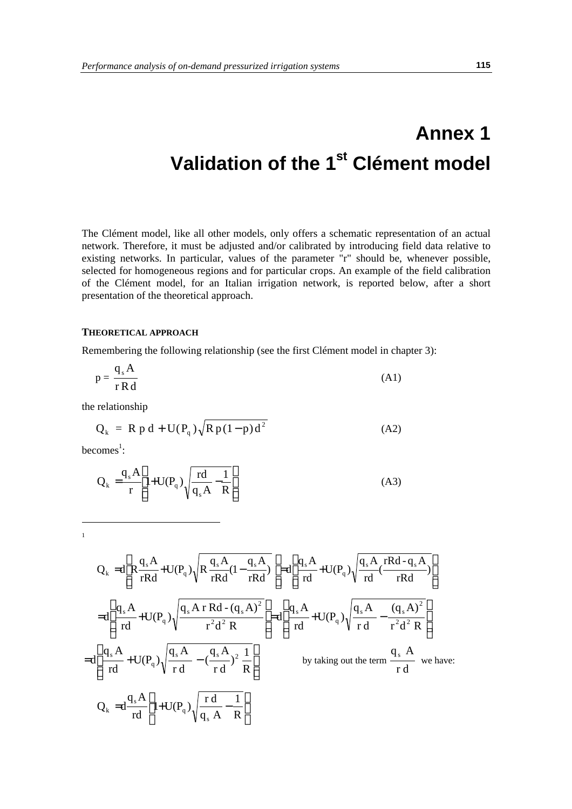# **Annex 1 Validation of the 1st Clément model**

The Clément model, like all other models, only offers a schematic representation of an actual network. Therefore, it must be adjusted and/or calibrated by introducing field data relative to existing networks. In particular, values of the parameter "r" should be, whenever possible, selected for homogeneous regions and for particular crops. An example of the field calibration of the Clément model, for an Italian irrigation network, is reported below, after a short presentation of the theoretical approach.

# **THEORETICAL APPROACH**

Remembering the following relationship (see the first Clément model in chapter 3):

$$
p = \frac{q_s A}{r R d}
$$
 (A1)

the relationship

$$
Q_k = R p d + U(P_q) \sqrt{R p (1 - p) d^2}
$$
 (A2)

 $becomes<sup>1</sup>$ :

 $\overline{a}$ 1

$$
Q_k = \frac{q_s A}{r} \left[ 1 + U(P_q) \sqrt{\frac{rd}{q_s A} - \frac{1}{R}} \right]
$$
 (A3)

$$
Q_{k} = d\left[R\frac{q_{s}A}{rRd} + U(P_{q})\sqrt{R\frac{q_{s}A}{rRd}(1-\frac{q_{s}A}{rRd})}\right] = d\left[\frac{q_{s}A}{rd} + U(P_{q})\sqrt{\frac{q_{s}A}{rd}(\frac{rRd-q_{s}A}{rRd})}\right]
$$
  
\n
$$
= d\left[\frac{q_{s}A}{rd} + U(P_{q})\sqrt{\frac{q_{s}A \cdot Rd-(q_{s}A)^{2}}{r^{2}d^{2}R}}\right] = d\left[\frac{q_{s}A}{rd} + U(P_{q})\sqrt{\frac{q_{s}A}{rd} - \frac{(q_{s}A)^{2}}{r^{2}d^{2}R}}\right]
$$
  
\n
$$
= d\left[\frac{q_{s}A}{rd} + U(P_{q})\sqrt{\frac{q_{s}A}{rd} - (\frac{q_{s}A}{rd})^{2}\frac{1}{R}}\right]
$$
  
\nby taking out the term  $\frac{q_{s}A}{rd}$  we have:  
\n
$$
Q_{k} = d\frac{q_{s}A}{rd}\left[1 + U(P_{q})\sqrt{\frac{rd}{q_{s}A} - \frac{1}{R}}\right]
$$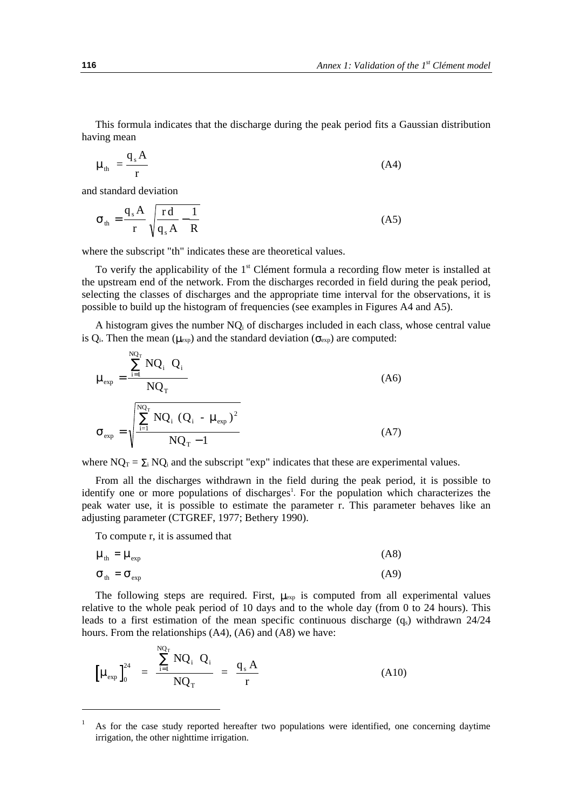This formula indicates that the discharge during the peak period fits a Gaussian distribution having mean

$$
\mu_{\rm th} = \frac{q_{\rm s}A}{r} \tag{A4}
$$

and standard deviation

$$
\sigma_{\rm th} = \frac{q_{\rm s}A}{r} \sqrt{\frac{rd}{q_{\rm s}A} - \frac{1}{R}}
$$
 (A5)

where the subscript "th" indicates these are theoretical values.

To verify the applicability of the  $1<sup>st</sup>$  Clément formula a recording flow meter is installed at the upstream end of the network. From the discharges recorded in field during the peak period, selecting the classes of discharges and the appropriate time interval for the observations, it is possible to build up the histogram of frequencies (see examples in Figures A4 and A5).

A histogram gives the number  $NQ_i$  of discharges included in each class, whose central value is Q<sub>i</sub>. Then the mean ( $\mu_{exp}$ ) and the standard deviation ( $\sigma_{exp}$ ) are computed:

$$
\mu_{\exp} = \frac{\sum_{i=1}^{NQ_{T}} NQ_{i} Q_{i}}{NQ_{T}}
$$
\n
$$
\sigma_{\exp} = \sqrt{\frac{\sum_{i=1}^{NQ_{T}} NQ_{i} (Q_{i} - \mu_{\exp})^{2}}{NQ_{T} - 1}}
$$
\n(A7)

where  $NQ_T = \sum_i NQ_i$  and the subscript "exp" indicates that these are experimental values.

From all the discharges withdrawn in the field during the peak period, it is possible to identify one or more populations of discharges<sup>1</sup>. For the population which characterizes the peak water use, it is possible to estimate the parameter r. This parameter behaves like an adjusting parameter (CTGREF, 1977; Bethery 1990).

To compute r, it is assumed that

 $\sim$ 

$$
\mu_{\rm th} = \mu_{\rm exp} \tag{A8}
$$

$$
\sigma_{\rm th} = \sigma_{\rm exp} \tag{A9}
$$

The following steps are required. First,  $\mu_{exp}$  is computed from all experimental values relative to the whole peak period of 10 days and to the whole day (from 0 to 24 hours). This leads to a first estimation of the mean specific continuous discharge  $(q_s)$  withdrawn 24/24 hours. From the relationships (A4), (A6) and (A8) we have:

$$
\left[\mu_{\exp}\right]_0^{24} = \frac{\sum_{i=1}^{NQ_T} NQ_i \ Q_i}{NQ_T} = \frac{q_s A}{r}
$$
 (A10)

<sup>1</sup> As for the case study reported hereafter two populations were identified, one concerning daytime irrigation, the other nighttime irrigation.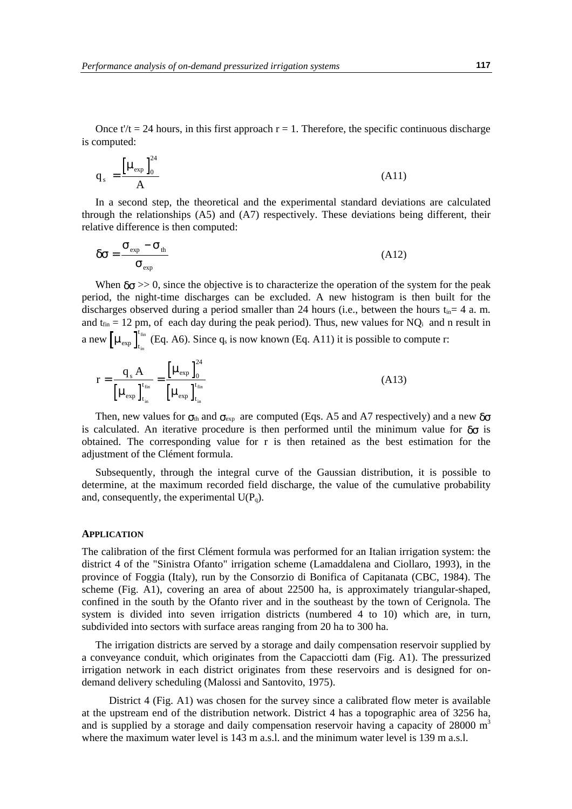Once t'/t = 24 hours, in this first approach  $r = 1$ . Therefore, the specific continuous discharge is computed:

$$
q_s = \frac{\left[\mu_{\exp}\right]_0^{24}}{A} \tag{A11}
$$

In a second step, the theoretical and the experimental standard deviations are calculated through the relationships (A5) and (A7) respectively. These deviations being different, their relative difference is then computed:

$$
\delta \sigma = \frac{\sigma_{\rm exp} - \sigma_{\rm th}}{\sigma_{\rm exp}} \tag{A12}
$$

When  $\delta \sigma >> 0$ , since the objective is to characterize the operation of the system for the peak period, the night-time discharges can be excluded. A new histogram is then built for the discharges observed during a period smaller than 24 hours (i.e., between the hours  $t_{in}= 4$  a.m. and  $t_{fin} = 12$  pm, of each day during the peak period). Thus, new values for NQ<sub>i</sub> and n result in a new  $\left[\mu_{\text{exp}}\right]_t^t$  $_{\text{in}}^{\text{fin}}$  (Eq. A6). Since q<sub>s</sub> is now known (Eq. A11) it is possible to compute r:

$$
r = \frac{q_s A}{\left[\mu_{\rm exp}\right]_{t_{\rm in}}^{t_{\rm fin}}} = \frac{\left[\mu_{\rm exp}\right]_{0}^{24}}{\left[\mu_{\rm exp}\right]_{t_{\rm in}}^{t_{\rm fin}}}
$$
(A13)

Then, new values for  $\sigma_{\text{th}}$  and  $\sigma_{\text{exp}}$  are computed (Eqs. A5 and A7 respectively) and a new  $\delta\sigma$ is calculated. An iterative procedure is then performed until the minimum value for  $\delta\sigma$  is obtained. The corresponding value for r is then retained as the best estimation for the adjustment of the Clément formula.

Subsequently, through the integral curve of the Gaussian distribution, it is possible to determine, at the maximum recorded field discharge, the value of the cumulative probability and, consequently, the experimental  $U(P_q)$ .

#### **APPLICATION**

The calibration of the first Clément formula was performed for an Italian irrigation system: the district 4 of the "Sinistra Ofanto" irrigation scheme (Lamaddalena and Ciollaro, 1993), in the province of Foggia (Italy), run by the Consorzio di Bonifica of Capitanata (CBC, 1984). The scheme (Fig. A1), covering an area of about 22500 ha, is approximately triangular-shaped, confined in the south by the Ofanto river and in the southeast by the town of Cerignola. The system is divided into seven irrigation districts (numbered 4 to 10) which are, in turn, subdivided into sectors with surface areas ranging from 20 ha to 300 ha.

The irrigation districts are served by a storage and daily compensation reservoir supplied by a conveyance conduit, which originates from the Capacciotti dam (Fig. A1). The pressurized irrigation network in each district originates from these reservoirs and is designed for ondemand delivery scheduling (Malossi and Santovito, 1975).

District 4 (Fig. A1) was chosen for the survey since a calibrated flow meter is available at the upstream end of the distribution network. District 4 has a topographic area of 3256 ha, and is supplied by a storage and daily compensation reservoir having a capacity of  $28000 \text{ m}^3$ where the maximum water level is 143 m a.s.l. and the minimum water level is 139 m a.s.l.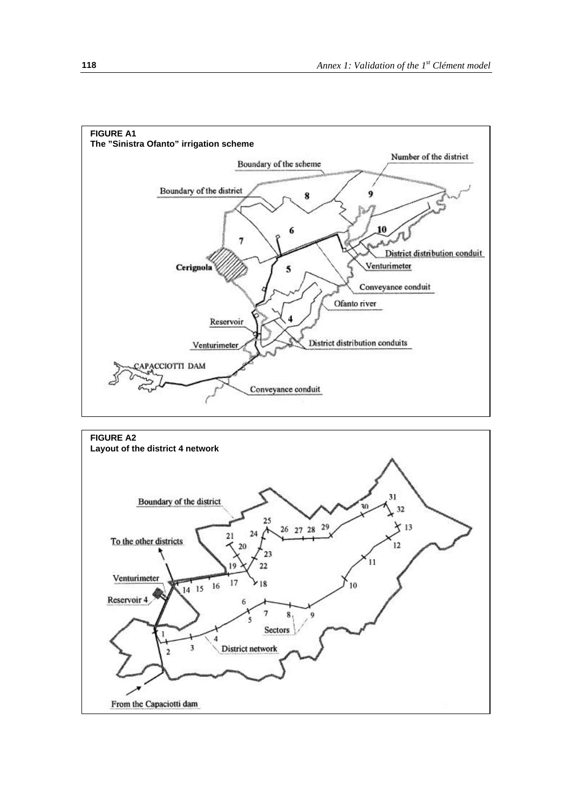

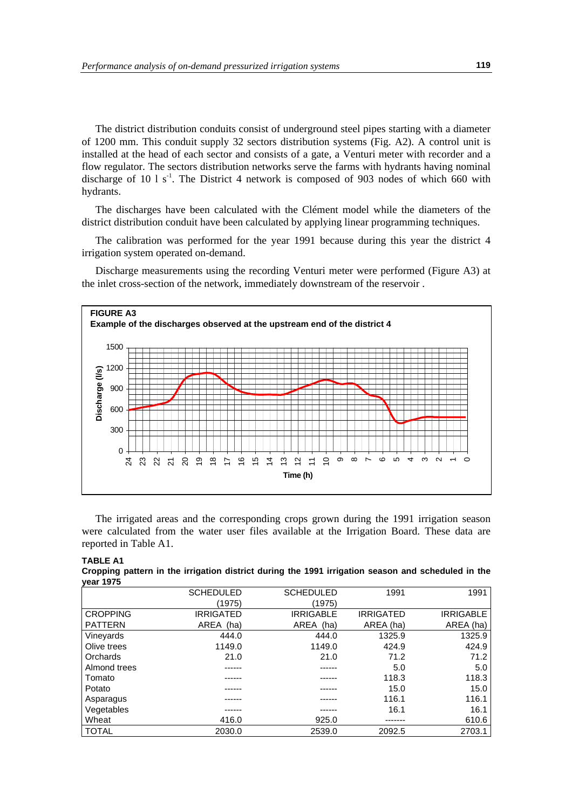The district distribution conduits consist of underground steel pipes starting with a diameter of 1200 mm. This conduit supply 32 sectors distribution systems (Fig. A2). A control unit is installed at the head of each sector and consists of a gate, a Venturi meter with recorder and a flow regulator. The sectors distribution networks serve the farms with hydrants having nominal discharge of 10 l  $s<sup>-1</sup>$ . The District 4 network is composed of 903 nodes of which 660 with hydrants.

The discharges have been calculated with the Clément model while the diameters of the district distribution conduit have been calculated by applying linear programming techniques.

The calibration was performed for the year 1991 because during this year the district 4 irrigation system operated on-demand.

Discharge measurements using the recording Venturi meter were performed (Figure A3) at the inlet cross-section of the network, immediately downstream of the reservoir .



The irrigated areas and the corresponding crops grown during the 1991 irrigation season were calculated from the water user files available at the Irrigation Board. These data are reported in Table A1.

| <b>TABLE A1</b> |  |  |  |  |  |                                                                                                    |  |
|-----------------|--|--|--|--|--|----------------------------------------------------------------------------------------------------|--|
|                 |  |  |  |  |  | Cropping pattern in the irrigation district during the 1991 irrigation season and scheduled in the |  |
| vear 1975       |  |  |  |  |  |                                                                                                    |  |

|                 | <b>SCHEDULED</b> | <b>SCHEDULED</b> | 1991             | 1991             |
|-----------------|------------------|------------------|------------------|------------------|
|                 | (1975)           | (1975)           |                  |                  |
| <b>CROPPING</b> | <b>IRRIGATED</b> | <b>IRRIGABLE</b> | <b>IRRIGATED</b> | <b>IRRIGABLE</b> |
| <b>PATTERN</b>  | AREA (ha)        | AREA (ha)        | AREA (ha)        | AREA (ha)        |
| Vineyards       | 444.0            | 444.0            | 1325.9           | 1325.9           |
| Olive trees     | 1149.0           | 1149.0           | 424.9            | 424.9            |
| Orchards        | 21.0             | 21.0             | 71.2             | 71.2             |
| Almond trees    |                  |                  | 5.0              | 5.0              |
| Tomato          |                  |                  | 118.3            | 118.3            |
| Potato          |                  |                  | 15.0             | 15.0             |
| Asparagus       |                  |                  | 116.1            | 116.1            |
| Vegetables      |                  |                  | 16.1             | 16.1             |
| Wheat           | 416.0            | 925.0            |                  | 610.6            |
| <b>TOTAL</b>    | 2030.0           | 2539.0           | 2092.5           | 2703.1           |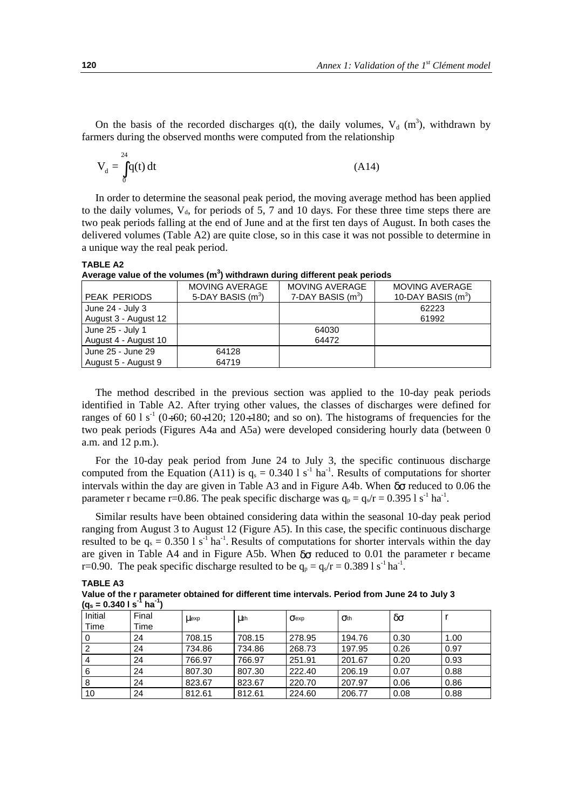On the basis of the recorded discharges  $q(t)$ , the daily volumes,  $V_d$  (m<sup>3</sup>), withdrawn by farmers during the observed months were computed from the relationship

$$
V_d = \int_0^{24} q(t) dt
$$
 (A14)

In order to determine the seasonal peak period, the moving average method has been applied to the daily volumes,  $V_{d}$ , for periods of 5, 7 and 10 days. For these three time steps there are two peak periods falling at the end of June and at the first ten days of August. In both cases the delivered volumes (Table A2) are quite close, so in this case it was not possible to determine in a unique way the real peak period.

#### **TABLE A2**

| Average value of the volumes (m <sup>3</sup> ) withdrawn during different peak periods |  |  |  |
|----------------------------------------------------------------------------------------|--|--|--|
|                                                                                        |  |  |  |

|                      | <b>MOVING AVERAGE</b> | MOVING AVERAGE      | <b>MOVING AVERAGE</b> |
|----------------------|-----------------------|---------------------|-----------------------|
| <b>PEAK PERIODS</b>  | 5-DAY BASIS $(m^3)$   | 7-DAY BASIS $(m^3)$ | 10-DAY BASIS $(m^3)$  |
| June 24 - July 3     |                       |                     | 62223                 |
| August 3 - August 12 |                       |                     | 61992                 |
| June 25 - July 1     |                       | 64030               |                       |
| August 4 - August 10 |                       | 64472               |                       |
| June 25 - June 29    | 64128                 |                     |                       |
| August 5 - August 9  | 64719                 |                     |                       |

The method described in the previous section was applied to the 10-day peak periods identified in Table A2. After trying other values, the classes of discharges were defined for ranges of 60 l s<sup>-1</sup> (0÷60; 60÷120; 120÷180; and so on). The histograms of frequencies for the two peak periods (Figures A4a and A5a) were developed considering hourly data (between 0 a.m. and 12 p.m.).

For the 10-day peak period from June 24 to July 3, the specific continuous discharge computed from the Equation (A11) is  $q_s = 0.340$  l s<sup>-1</sup> ha<sup>-1</sup>. Results of computations for shorter intervals within the day are given in Table A3 and in Figure A4b. When  $\delta\sigma$  reduced to 0.06 the parameter r became r=0.86. The peak specific discharge was  $q_p = q_s/r = 0.3951 s^{-1} h a^{-1}$ .

Similar results have been obtained considering data within the seasonal 10-day peak period ranging from August 3 to August 12 (Figure A5). In this case, the specific continuous discharge resulted to be  $q_s = 0.350 \text{ 1 s}^{-1}$  ha<sup>-1</sup>. Results of computations for shorter intervals within the day are given in Table A4 and in Figure A5b. When  $\delta\sigma$  reduced to 0.01 the parameter r became r=0.90. The peak specific discharge resulted to be  $q_p = q_s/r = 0.389 1 s^{-1} h a^{-1}$ .

| <b>TABLE A3</b>                                                                               |  |
|-----------------------------------------------------------------------------------------------|--|
| Value of the r parameter obtained for different time intervals. Period from June 24 to July 3 |  |
| $(q_s = 0.3401 s^{-1} ha^{-1})$                                                               |  |

| $\mathbf{v}$<br>Initial<br>Time | Final<br>Time | <b>Llexp</b> | Luth   | $\sigma$ exp | Q <sub>th</sub> | δσ   |      |
|---------------------------------|---------------|--------------|--------|--------------|-----------------|------|------|
| 0                               | 24            | 708.15       | 708.15 | 278.95       | 194.76          | 0.30 | 1.00 |
| 2                               | 24            | 734.86       | 734.86 | 268.73       | 197.95          | 0.26 | 0.97 |
| $\overline{4}$                  | 24            | 766.97       | 766.97 | 251.91       | 201.67          | 0.20 | 0.93 |
| 6                               | 24            | 807.30       | 807.30 | 222.40       | 206.19          | 0.07 | 0.88 |
| 8                               | 24            | 823.67       | 823.67 | 220.70       | 207.97          | 0.06 | 0.86 |
| 10                              | 24            | 812.61       | 812.61 | 224.60       | 206.77          | 0.08 | 0.88 |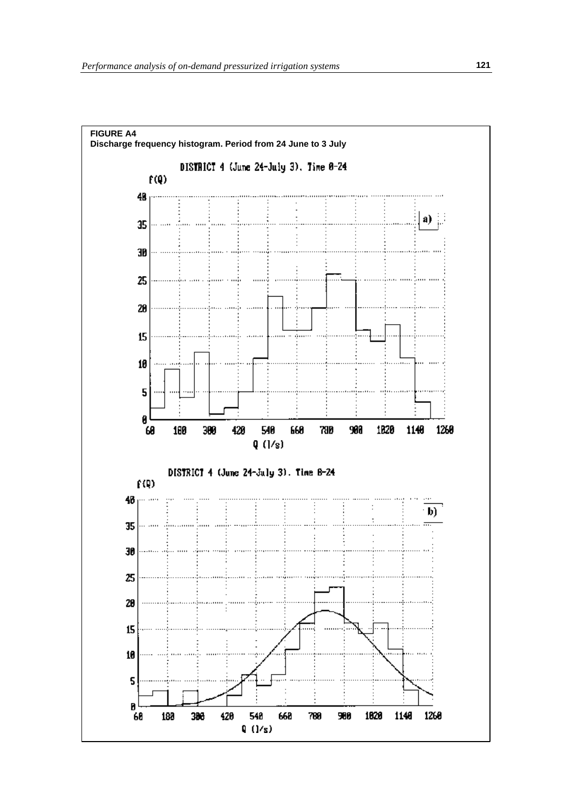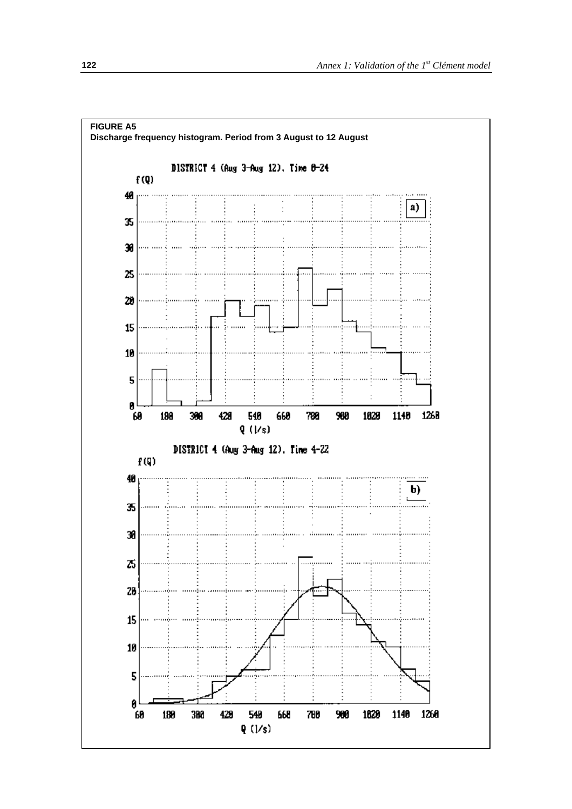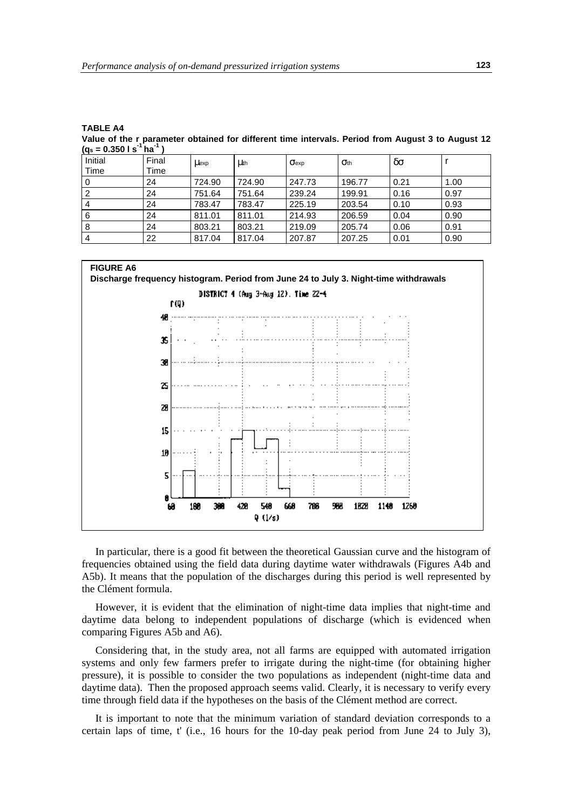**TABLE A4 Value of the r parameter obtained for different time intervals. Period from August 3 to August 12**  $(a_5 = 0.3501 s^1 h a^1)$ 

| $\ddot{\phantom{0}}$ |       |              |             |                         |        |      |      |
|----------------------|-------|--------------|-------------|-------------------------|--------|------|------|
| Initial              | Final | <b>Llexp</b> | <b>Luth</b> | $\sigma$ <sub>exp</sub> | Oth    | δσ   |      |
| Time                 | Time  |              |             |                         |        |      |      |
|                      | 24    | 724.90       | 724.90      | 247.73                  | 196.77 | 0.21 | 1.00 |
|                      | 24    | 751.64       | 751.64      | 239.24                  | 199.91 | 0.16 | 0.97 |
|                      | 24    | 783.47       | 783.47      | 225.19                  | 203.54 | 0.10 | 0.93 |
| 6                    | 24    | 811.01       | 811.01      | 214.93                  | 206.59 | 0.04 | 0.90 |
| 8                    | 24    | 803.21       | 803.21      | 219.09                  | 205.74 | 0.06 | 0.91 |
|                      | 22    | 817.04       | 817.04      | 207.87                  | 207.25 | 0.01 | 0.90 |



In particular, there is a good fit between the theoretical Gaussian curve and the histogram of frequencies obtained using the field data during daytime water withdrawals (Figures A4b and A5b). It means that the population of the discharges during this period is well represented by the Clément formula.

However, it is evident that the elimination of night-time data implies that night-time and daytime data belong to independent populations of discharge (which is evidenced when comparing Figures A5b and A6).

Considering that, in the study area, not all farms are equipped with automated irrigation systems and only few farmers prefer to irrigate during the night-time (for obtaining higher pressure), it is possible to consider the two populations as independent (night-time data and daytime data). Then the proposed approach seems valid. Clearly, it is necessary to verify every time through field data if the hypotheses on the basis of the Clément method are correct.

It is important to note that the minimum variation of standard deviation corresponds to a certain laps of time, t' (i.e., 16 hours for the 10-day peak period from June 24 to July 3),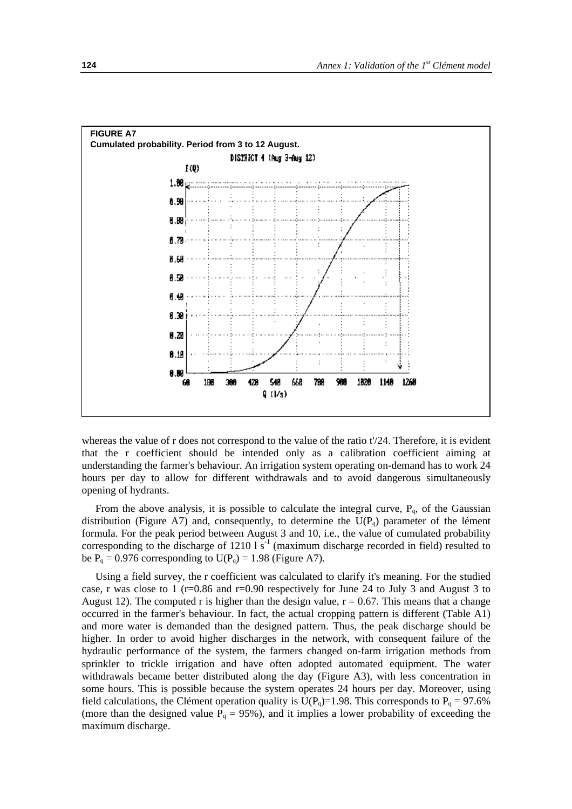

whereas the value of r does not correspond to the value of the ratio t'/24. Therefore, it is evident that the r coefficient should be intended only as a calibration coefficient aiming at understanding the farmer's behaviour. An irrigation system operating on-demand has to work 24 hours per day to allow for different withdrawals and to avoid dangerous simultaneously opening of hydrants.

From the above analysis, it is possible to calculate the integral curve,  $P_q$ , of the Gaussian distribution (Figure A7) and, consequently, to determine the  $U(P_q)$  parameter of the lément formula. For the peak period between August 3 and 10, i.e., the value of cumulated probability corresponding to the discharge of 1210  $1 \text{ s}^{-1}$  (maximum discharge recorded in field) resulted to be  $P_q = 0.976$  corresponding to  $U(P_q) = 1.98$  (Figure A7).

Using a field survey, the r coefficient was calculated to clarify it's meaning. For the studied case, r was close to 1 ( $r=0.86$  and  $r=0.90$  respectively for June 24 to July 3 and August 3 to August 12). The computed r is higher than the design value,  $r = 0.67$ . This means that a change occurred in the farmer's behaviour. In fact, the actual cropping pattern is different (Table A1) and more water is demanded than the designed pattern. Thus, the peak discharge should be higher. In order to avoid higher discharges in the network, with consequent failure of the hydraulic performance of the system, the farmers changed on-farm irrigation methods from sprinkler to trickle irrigation and have often adopted automated equipment. The water withdrawals became better distributed along the day (Figure A3), with less concentration in some hours. This is possible because the system operates 24 hours per day. Moreover, using field calculations, the Clément operation quality is U(P<sub>q</sub>)=1.98. This corresponds to P<sub>q</sub> = 97.6% (more than the designed value  $\overline{P_q} = 95\%$ ), and it implies a lower probability of exceeding the maximum discharge.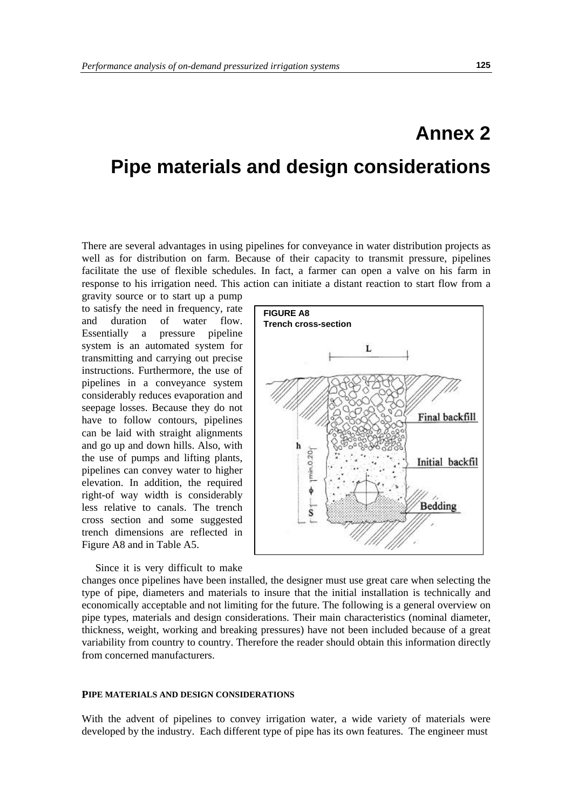# **Annex 2 Pipe materials and design considerations**

There are several advantages in using pipelines for conveyance in water distribution projects as well as for distribution on farm. Because of their capacity to transmit pressure, pipelines facilitate the use of flexible schedules. In fact, a farmer can open a valve on his farm in response to his irrigation need. This action can initiate a distant reaction to start flow from a

gravity source or to start up a pump to satisfy the need in frequency, rate and duration of water flow. Essentially a pressure pipeline system is an automated system for transmitting and carrying out precise instructions. Furthermore, the use of pipelines in a conveyance system considerably reduces evaporation and seepage losses. Because they do not have to follow contours, pipelines can be laid with straight alignments and go up and down hills. Also, with the use of pumps and lifting plants, pipelines can convey water to higher elevation. In addition, the required right-of way width is considerably less relative to canals. The trench cross section and some suggested trench dimensions are reflected in Figure A8 and in Table A5.

Since it is very difficult to make



changes once pipelines have been installed, the designer must use great care when selecting the type of pipe, diameters and materials to insure that the initial installation is technically and economically acceptable and not limiting for the future. The following is a general overview on pipe types, materials and design considerations. Their main characteristics (nominal diameter, thickness, weight, working and breaking pressures) have not been included because of a great variability from country to country. Therefore the reader should obtain this information directly from concerned manufacturers.

### **PIPE MATERIALS AND DESIGN CONSIDERATIONS**

With the advent of pipelines to convey irrigation water, a wide variety of materials were developed by the industry. Each different type of pipe has its own features. The engineer must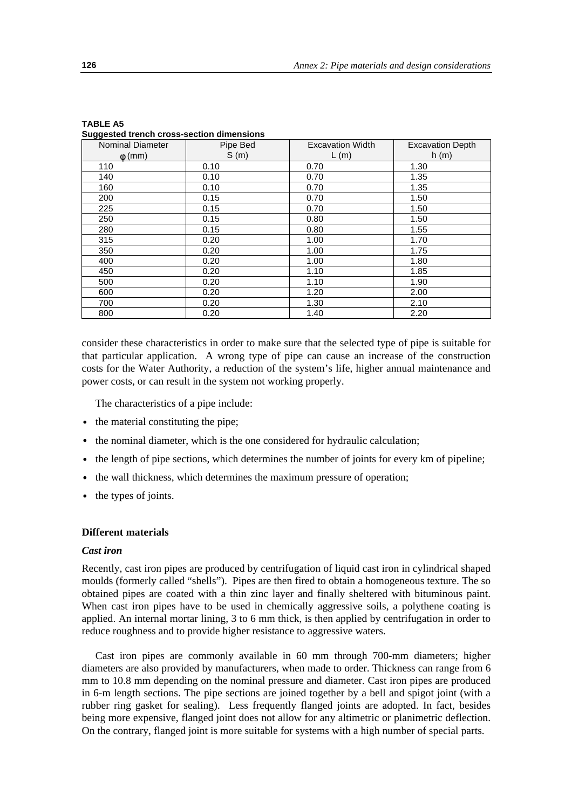| <b>Nominal Diameter</b> | Pipe Bed | <b>Excavation Width</b> | <b>Excavation Depth</b> |
|-------------------------|----------|-------------------------|-------------------------|
| $\phi$ (mm)             | S(m)     | L(m)                    | h(m)                    |
| 110                     | 0.10     | 0.70                    | 1.30                    |
| 140                     | 0.10     | 0.70                    | 1.35                    |
| 160                     | 0.10     | 0.70                    | 1.35                    |
| 200                     | 0.15     | 0.70                    | 1.50                    |
| 225                     | 0.15     | 0.70                    | 1.50                    |
| 250                     | 0.15     | 0.80                    | 1.50                    |
| 280                     | 0.15     | 0.80                    | 1.55                    |
| 315                     | 0.20     | 1.00                    | 1.70                    |
| 350                     | 0.20     | 1.00                    | 1.75                    |
| 400                     | 0.20     | 1.00                    | 1.80                    |
| 450                     | 0.20     | 1.10                    | 1.85                    |
| 500                     | 0.20     | 1.10                    | 1.90                    |
| 600                     | 0.20     | 1.20                    | 2.00                    |
| 700                     | 0.20     | 1.30                    | 2.10                    |
| 800                     | 0.20     | 1.40                    | 2.20                    |

| I ABLE A5 |                                           |  |
|-----------|-------------------------------------------|--|
|           | Suggested trench cross-section dimensions |  |

consider these characteristics in order to make sure that the selected type of pipe is suitable for that particular application. A wrong type of pipe can cause an increase of the construction costs for the Water Authority, a reduction of the system's life, higher annual maintenance and power costs, or can result in the system not working properly.

The characteristics of a pipe include:

- the material constituting the pipe;
- the nominal diameter, which is the one considered for hydraulic calculation;
- the length of pipe sections, which determines the number of joints for every km of pipeline;
- the wall thickness, which determines the maximum pressure of operation;
- the types of joints.

# **Different materials**

#### *Cast iron*

Recently, cast iron pipes are produced by centrifugation of liquid cast iron in cylindrical shaped moulds (formerly called "shells"). Pipes are then fired to obtain a homogeneous texture. The so obtained pipes are coated with a thin zinc layer and finally sheltered with bituminous paint. When cast iron pipes have to be used in chemically aggressive soils, a polythene coating is applied. An internal mortar lining, 3 to 6 mm thick, is then applied by centrifugation in order to reduce roughness and to provide higher resistance to aggressive waters.

Cast iron pipes are commonly available in 60 mm through 700-mm diameters; higher diameters are also provided by manufacturers, when made to order. Thickness can range from 6 mm to 10.8 mm depending on the nominal pressure and diameter. Cast iron pipes are produced in 6-m length sections. The pipe sections are joined together by a bell and spigot joint (with a rubber ring gasket for sealing). Less frequently flanged joints are adopted. In fact, besides being more expensive, flanged joint does not allow for any altimetric or planimetric deflection. On the contrary, flanged joint is more suitable for systems with a high number of special parts.

**TABLE A5**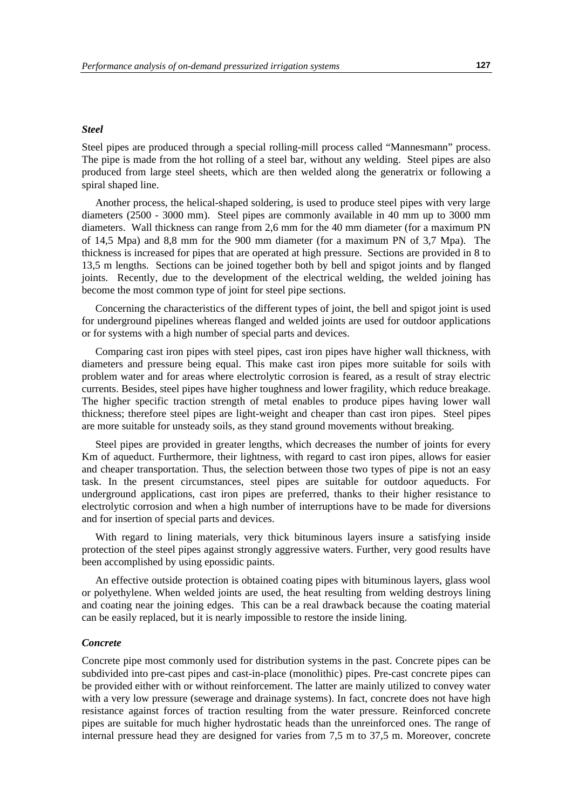#### *Steel*

Steel pipes are produced through a special rolling-mill process called "Mannesmann" process. The pipe is made from the hot rolling of a steel bar, without any welding. Steel pipes are also produced from large steel sheets, which are then welded along the generatrix or following a spiral shaped line.

Another process, the helical-shaped soldering, is used to produce steel pipes with very large diameters (2500 - 3000 mm). Steel pipes are commonly available in 40 mm up to 3000 mm diameters. Wall thickness can range from 2,6 mm for the 40 mm diameter (for a maximum PN of 14,5 Mpa) and 8,8 mm for the 900 mm diameter (for a maximum PN of 3,7 Mpa). The thickness is increased for pipes that are operated at high pressure. Sections are provided in 8 to 13,5 m lengths. Sections can be joined together both by bell and spigot joints and by flanged joints. Recently, due to the development of the electrical welding, the welded joining has become the most common type of joint for steel pipe sections.

Concerning the characteristics of the different types of joint, the bell and spigot joint is used for underground pipelines whereas flanged and welded joints are used for outdoor applications or for systems with a high number of special parts and devices.

Comparing cast iron pipes with steel pipes, cast iron pipes have higher wall thickness, with diameters and pressure being equal. This make cast iron pipes more suitable for soils with problem water and for areas where electrolytic corrosion is feared, as a result of stray electric currents. Besides, steel pipes have higher toughness and lower fragility, which reduce breakage. The higher specific traction strength of metal enables to produce pipes having lower wall thickness; therefore steel pipes are light-weight and cheaper than cast iron pipes. Steel pipes are more suitable for unsteady soils, as they stand ground movements without breaking.

Steel pipes are provided in greater lengths, which decreases the number of joints for every Km of aqueduct. Furthermore, their lightness, with regard to cast iron pipes, allows for easier and cheaper transportation. Thus, the selection between those two types of pipe is not an easy task. In the present circumstances, steel pipes are suitable for outdoor aqueducts. For underground applications, cast iron pipes are preferred, thanks to their higher resistance to electrolytic corrosion and when a high number of interruptions have to be made for diversions and for insertion of special parts and devices.

With regard to lining materials, very thick bituminous layers insure a satisfying inside protection of the steel pipes against strongly aggressive waters. Further, very good results have been accomplished by using epossidic paints.

An effective outside protection is obtained coating pipes with bituminous layers, glass wool or polyethylene. When welded joints are used, the heat resulting from welding destroys lining and coating near the joining edges. This can be a real drawback because the coating material can be easily replaced, but it is nearly impossible to restore the inside lining.

#### *Concrete*

Concrete pipe most commonly used for distribution systems in the past. Concrete pipes can be subdivided into pre-cast pipes and cast-in-place (monolithic) pipes. Pre-cast concrete pipes can be provided either with or without reinforcement. The latter are mainly utilized to convey water with a very low pressure (sewerage and drainage systems). In fact, concrete does not have high resistance against forces of traction resulting from the water pressure. Reinforced concrete pipes are suitable for much higher hydrostatic heads than the unreinforced ones. The range of internal pressure head they are designed for varies from 7,5 m to 37,5 m. Moreover, concrete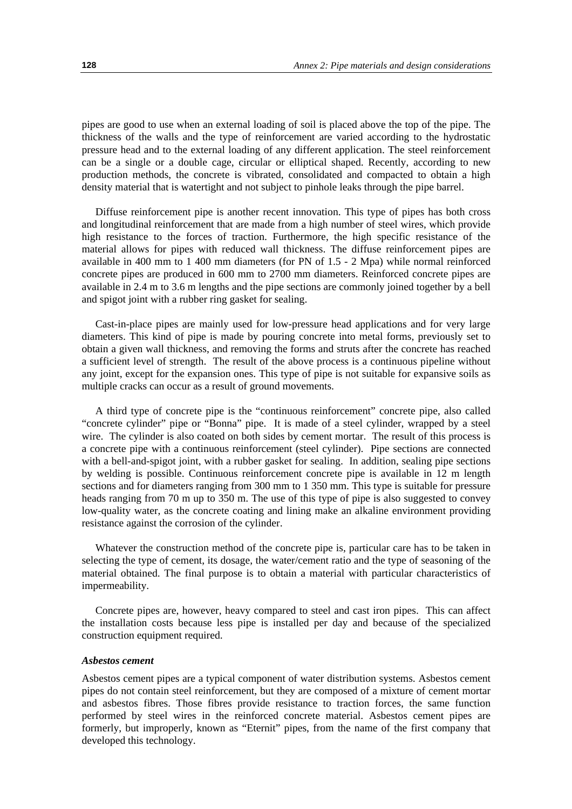pipes are good to use when an external loading of soil is placed above the top of the pipe. The thickness of the walls and the type of reinforcement are varied according to the hydrostatic pressure head and to the external loading of any different application. The steel reinforcement can be a single or a double cage, circular or elliptical shaped. Recently, according to new production methods, the concrete is vibrated, consolidated and compacted to obtain a high density material that is watertight and not subject to pinhole leaks through the pipe barrel.

Diffuse reinforcement pipe is another recent innovation. This type of pipes has both cross and longitudinal reinforcement that are made from a high number of steel wires, which provide high resistance to the forces of traction. Furthermore, the high specific resistance of the material allows for pipes with reduced wall thickness. The diffuse reinforcement pipes are available in 400 mm to 1 400 mm diameters (for PN of 1.5 - 2 Mpa) while normal reinforced concrete pipes are produced in 600 mm to 2700 mm diameters. Reinforced concrete pipes are available in 2.4 m to 3.6 m lengths and the pipe sections are commonly joined together by a bell and spigot joint with a rubber ring gasket for sealing.

Cast-in-place pipes are mainly used for low-pressure head applications and for very large diameters. This kind of pipe is made by pouring concrete into metal forms, previously set to obtain a given wall thickness, and removing the forms and struts after the concrete has reached a sufficient level of strength. The result of the above process is a continuous pipeline without any joint, except for the expansion ones. This type of pipe is not suitable for expansive soils as multiple cracks can occur as a result of ground movements.

A third type of concrete pipe is the "continuous reinforcement" concrete pipe, also called "concrete cylinder" pipe or "Bonna" pipe. It is made of a steel cylinder, wrapped by a steel wire. The cylinder is also coated on both sides by cement mortar. The result of this process is a concrete pipe with a continuous reinforcement (steel cylinder). Pipe sections are connected with a bell-and-spigot joint, with a rubber gasket for sealing. In addition, sealing pipe sections by welding is possible. Continuous reinforcement concrete pipe is available in 12 m length sections and for diameters ranging from 300 mm to 1 350 mm. This type is suitable for pressure heads ranging from 70 m up to 350 m. The use of this type of pipe is also suggested to convey low-quality water, as the concrete coating and lining make an alkaline environment providing resistance against the corrosion of the cylinder.

Whatever the construction method of the concrete pipe is, particular care has to be taken in selecting the type of cement, its dosage, the water/cement ratio and the type of seasoning of the material obtained. The final purpose is to obtain a material with particular characteristics of impermeability.

Concrete pipes are, however, heavy compared to steel and cast iron pipes. This can affect the installation costs because less pipe is installed per day and because of the specialized construction equipment required.

## *Asbestos cement*

Asbestos cement pipes are a typical component of water distribution systems. Asbestos cement pipes do not contain steel reinforcement, but they are composed of a mixture of cement mortar and asbestos fibres. Those fibres provide resistance to traction forces, the same function performed by steel wires in the reinforced concrete material. Asbestos cement pipes are formerly, but improperly, known as "Eternit" pipes, from the name of the first company that developed this technology.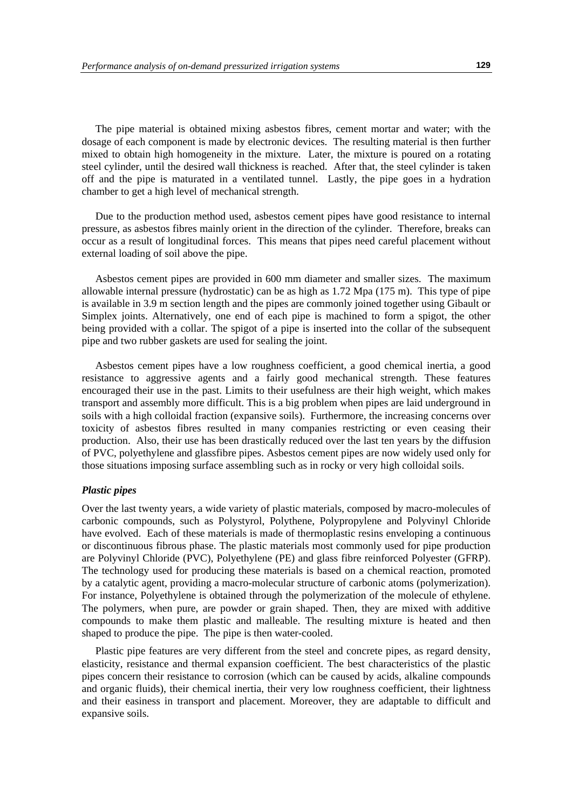The pipe material is obtained mixing asbestos fibres, cement mortar and water; with the dosage of each component is made by electronic devices. The resulting material is then further mixed to obtain high homogeneity in the mixture. Later, the mixture is poured on a rotating steel cylinder, until the desired wall thickness is reached. After that, the steel cylinder is taken off and the pipe is maturated in a ventilated tunnel. Lastly, the pipe goes in a hydration chamber to get a high level of mechanical strength.

Due to the production method used, asbestos cement pipes have good resistance to internal pressure, as asbestos fibres mainly orient in the direction of the cylinder. Therefore, breaks can occur as a result of longitudinal forces. This means that pipes need careful placement without external loading of soil above the pipe.

Asbestos cement pipes are provided in 600 mm diameter and smaller sizes. The maximum allowable internal pressure (hydrostatic) can be as high as 1.72 Mpa (175 m). This type of pipe is available in 3.9 m section length and the pipes are commonly joined together using Gibault or Simplex joints. Alternatively, one end of each pipe is machined to form a spigot, the other being provided with a collar. The spigot of a pipe is inserted into the collar of the subsequent pipe and two rubber gaskets are used for sealing the joint.

Asbestos cement pipes have a low roughness coefficient, a good chemical inertia, a good resistance to aggressive agents and a fairly good mechanical strength. These features encouraged their use in the past. Limits to their usefulness are their high weight, which makes transport and assembly more difficult. This is a big problem when pipes are laid underground in soils with a high colloidal fraction (expansive soils). Furthermore, the increasing concerns over toxicity of asbestos fibres resulted in many companies restricting or even ceasing their production. Also, their use has been drastically reduced over the last ten years by the diffusion of PVC, polyethylene and glassfibre pipes. Asbestos cement pipes are now widely used only for those situations imposing surface assembling such as in rocky or very high colloidal soils.

### *Plastic pipes*

Over the last twenty years, a wide variety of plastic materials, composed by macro-molecules of carbonic compounds, such as Polystyrol, Polythene, Polypropylene and Polyvinyl Chloride have evolved. Each of these materials is made of thermoplastic resins enveloping a continuous or discontinuous fibrous phase. The plastic materials most commonly used for pipe production are Polyvinyl Chloride (PVC), Polyethylene (PE) and glass fibre reinforced Polyester (GFRP). The technology used for producing these materials is based on a chemical reaction, promoted by a catalytic agent, providing a macro-molecular structure of carbonic atoms (polymerization). For instance, Polyethylene is obtained through the polymerization of the molecule of ethylene. The polymers, when pure, are powder or grain shaped. Then, they are mixed with additive compounds to make them plastic and malleable. The resulting mixture is heated and then shaped to produce the pipe. The pipe is then water-cooled.

Plastic pipe features are very different from the steel and concrete pipes, as regard density, elasticity, resistance and thermal expansion coefficient. The best characteristics of the plastic pipes concern their resistance to corrosion (which can be caused by acids, alkaline compounds and organic fluids), their chemical inertia, their very low roughness coefficient, their lightness and their easiness in transport and placement. Moreover, they are adaptable to difficult and expansive soils.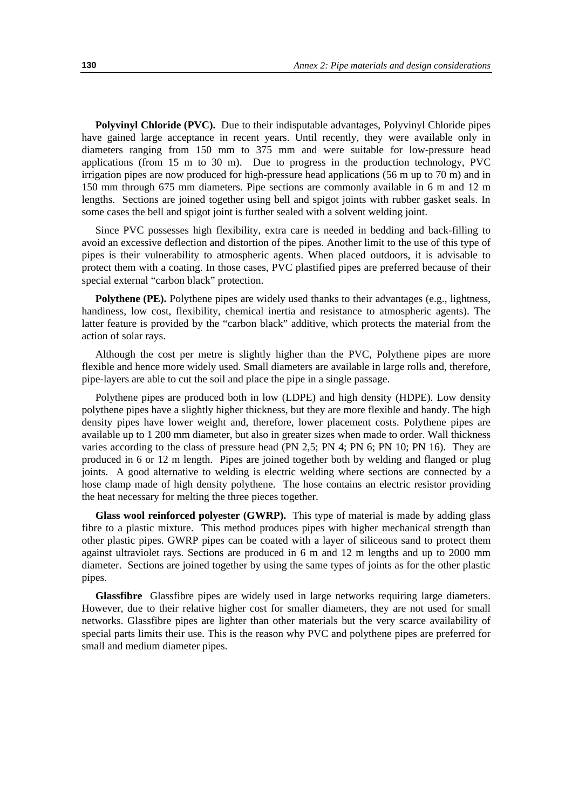**Polyvinyl Chloride (PVC).** Due to their indisputable advantages, Polyvinyl Chloride pipes have gained large acceptance in recent years. Until recently, they were available only in diameters ranging from 150 mm to 375 mm and were suitable for low-pressure head applications (from 15 m to 30 m). Due to progress in the production technology, PVC irrigation pipes are now produced for high-pressure head applications (56 m up to 70 m) and in 150 mm through 675 mm diameters. Pipe sections are commonly available in 6 m and 12 m lengths. Sections are joined together using bell and spigot joints with rubber gasket seals. In some cases the bell and spigot joint is further sealed with a solvent welding joint.

Since PVC possesses high flexibility, extra care is needed in bedding and back-filling to avoid an excessive deflection and distortion of the pipes. Another limit to the use of this type of pipes is their vulnerability to atmospheric agents. When placed outdoors, it is advisable to protect them with a coating. In those cases, PVC plastified pipes are preferred because of their special external "carbon black" protection.

**Polythene (PE).** Polythene pipes are widely used thanks to their advantages (e.g., lightness, handiness, low cost, flexibility, chemical inertia and resistance to atmospheric agents). The latter feature is provided by the "carbon black" additive, which protects the material from the action of solar rays.

Although the cost per metre is slightly higher than the PVC, Polythene pipes are more flexible and hence more widely used. Small diameters are available in large rolls and, therefore, pipe-layers are able to cut the soil and place the pipe in a single passage.

Polythene pipes are produced both in low (LDPE) and high density (HDPE). Low density polythene pipes have a slightly higher thickness, but they are more flexible and handy. The high density pipes have lower weight and, therefore, lower placement costs. Polythene pipes are available up to 1 200 mm diameter, but also in greater sizes when made to order. Wall thickness varies according to the class of pressure head (PN 2,5; PN 4; PN 6; PN 10; PN 16). They are produced in 6 or 12 m length. Pipes are joined together both by welding and flanged or plug joints. A good alternative to welding is electric welding where sections are connected by a hose clamp made of high density polythene. The hose contains an electric resistor providing the heat necessary for melting the three pieces together.

**Glass wool reinforced polyester (GWRP).** This type of material is made by adding glass fibre to a plastic mixture. This method produces pipes with higher mechanical strength than other plastic pipes. GWRP pipes can be coated with a layer of siliceous sand to protect them against ultraviolet rays. Sections are produced in 6 m and 12 m lengths and up to 2000 mm diameter. Sections are joined together by using the same types of joints as for the other plastic pipes.

**Glassfibre** Glassfibre pipes are widely used in large networks requiring large diameters. However, due to their relative higher cost for smaller diameters, they are not used for small networks. Glassfibre pipes are lighter than other materials but the very scarce availability of special parts limits their use. This is the reason why PVC and polythene pipes are preferred for small and medium diameter pipes.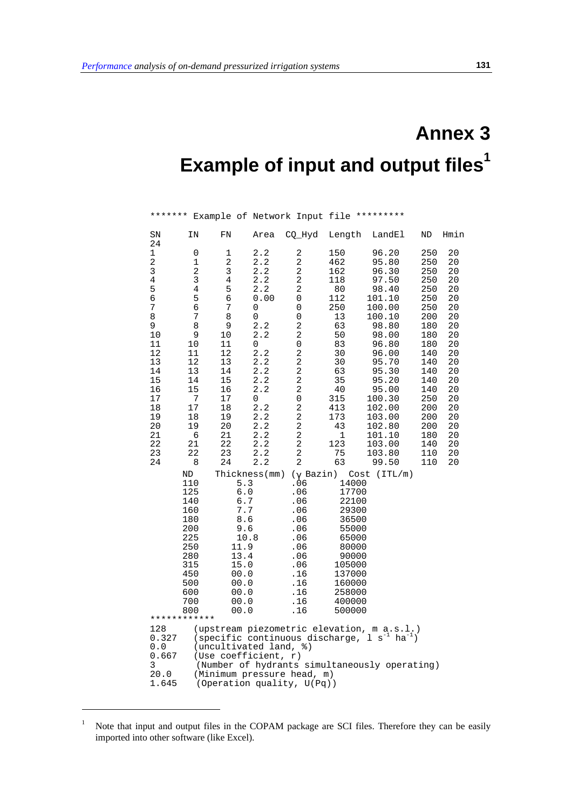# **Annex 3 Example of input and output files<sup>1</sup>**

| SΝ                                                                                                                                                                                                                                                                                                                       | ΙN                                                                                                                                                                                   | FN                                                                                                                                      | Area                                                                                                                                                                           | CQ_Hyd                                                                                                                                                                                                                                                                                              | Length                                                                                                                                                          | LandEl                                                                                                                                                                                                                                         | ND                                                                                                                                                                   | Hmin                                                                                                                                         |  |
|--------------------------------------------------------------------------------------------------------------------------------------------------------------------------------------------------------------------------------------------------------------------------------------------------------------------------|--------------------------------------------------------------------------------------------------------------------------------------------------------------------------------------|-----------------------------------------------------------------------------------------------------------------------------------------|--------------------------------------------------------------------------------------------------------------------------------------------------------------------------------|-----------------------------------------------------------------------------------------------------------------------------------------------------------------------------------------------------------------------------------------------------------------------------------------------------|-----------------------------------------------------------------------------------------------------------------------------------------------------------------|------------------------------------------------------------------------------------------------------------------------------------------------------------------------------------------------------------------------------------------------|----------------------------------------------------------------------------------------------------------------------------------------------------------------------|----------------------------------------------------------------------------------------------------------------------------------------------|--|
| 24<br>$\mathbf 1$<br>$\overline{a}$<br>3<br>$\overline{4}$<br>5<br>6<br>7<br>8<br>9<br>10<br>11<br>12<br>13<br>14<br>15<br>16<br>17<br>18<br>19<br>20<br>21<br>22<br>23<br>24                                                                                                                                            | 0<br>$\mathbf 1$<br>$\overline{a}$<br>3<br>$\,4$<br>$\frac{5}{6}$<br>$\overline{7}$<br>8<br>9<br>10<br>11<br>12<br>13<br>14<br>15<br>7<br>17<br>18<br>19<br>6<br>21<br>22<br>8<br>ND | 1<br>2<br>3<br>$\,4$<br>5<br>6<br>7<br>8<br>9<br>10<br>11<br>12<br>13<br>14<br>15<br>16<br>17<br>18<br>19<br>20<br>21<br>22<br>23<br>24 | 2.2<br>2.2<br>2.2<br>2.2<br>2.2<br>0.00<br>0<br>0<br>2.2<br>2.2<br>0<br>2.2<br>2.2<br>2.2<br>2.2<br>2.2<br>0<br>2.2<br>2.2<br>2.2<br>2.2<br>2.2<br>2.2<br>2.2<br>Thickness(mm) | 2<br>2<br>$\sqrt{2}$<br>$\mathbf 2$<br>2<br>0<br>0<br>0<br>$\overline{a}$<br>$\overline{a}$<br>0<br>2<br>$\sqrt{2}$<br>$\overline{\mathbf{c}}$<br>2<br>$\mathbf 2$<br>0<br>$\mathbf 2$<br>$\overline{\mathbf{c}}$<br>$\mathbf 2$<br>$\sqrt{2}$<br>$\sqrt{2}$<br>$\sqrt{2}$<br>2<br>$(\gamma$ Bazin) | 150<br>462<br>162<br>118<br>80<br>112<br>250<br>13<br>63<br>50<br>83<br>30<br>30<br>63<br>35<br>40<br>315<br>413<br>173<br>43<br>$\mathbf 1$<br>123<br>75<br>63 | 96.20<br>95.80<br>96.30<br>97.50<br>98.40<br>101.10<br>100.00<br>100.10<br>98.80<br>98.00<br>96.80<br>96.00<br>95.70<br>95.30<br>95.20<br>95.00<br>100.30<br>102.00<br>103.00<br>102.80<br>101.10<br>103.00<br>103.80<br>99.50<br>Cost (ITL/m) | 250<br>250<br>250<br>250<br>250<br>250<br>250<br>200<br>180<br>180<br>180<br>140<br>140<br>140<br>140<br>140<br>250<br>200<br>200<br>200<br>180<br>140<br>110<br>110 | 20<br>20<br>20<br>20<br>20<br>20<br>20<br>20<br>20<br>20<br>20<br>20<br>20<br>20<br>20<br>20<br>20<br>20<br>20<br>20<br>20<br>20<br>20<br>20 |  |
| 128                                                                                                                                                                                                                                                                                                                      | 110<br>125<br>140<br>160<br>180<br>200<br>225<br>250<br>280<br>315<br>450<br>500<br>600<br>700<br>800<br>************                                                                | 11.9<br>13.4<br>15.0<br>00.0<br>00.0<br>00.0<br>00.0<br>00.0                                                                            | 5.3<br>6.0<br>6.7<br>7.7<br>8.6<br>9.6<br>10.8                                                                                                                                 | .06<br>.06<br>.06<br>.06<br>.06<br>.06<br>.06<br>.06<br>.06<br>.06<br>.16<br>.16<br>.16<br>.16<br>.16                                                                                                                                                                                               | 14000<br>17700<br>22100<br>29300<br>36500<br>55000<br>65000<br>80000<br>90000<br>105000<br>137000<br>160000<br>258000<br>400000<br>500000                       |                                                                                                                                                                                                                                                |                                                                                                                                                                      |                                                                                                                                              |  |
| (upstream piezometric elevation, m a.s.l.)<br>(specific continuous discharge, $1 s^{-1}$<br>$ha^{-1}$ )<br>0.327<br>0.0<br>(uncultivated land, %)<br>0.667<br>(Use coefficient, $r$ )<br>(Number of hydrants simultaneously operating)<br>3<br>20.0<br>(Minimum pressure head, m)<br>1.645<br>(Operation quality, U(Pq)) |                                                                                                                                                                                      |                                                                                                                                         |                                                                                                                                                                                |                                                                                                                                                                                                                                                                                                     |                                                                                                                                                                 |                                                                                                                                                                                                                                                |                                                                                                                                                                      |                                                                                                                                              |  |

\*\*\*\*\*\*\* Example of Network Input file \*\*\*\*\*\*\*\*\*

<sup>&</sup>lt;sup>1</sup> Note that input and output files in the COPAM package are SCI files. Therefore they can be easily imported into other software (like Excel).